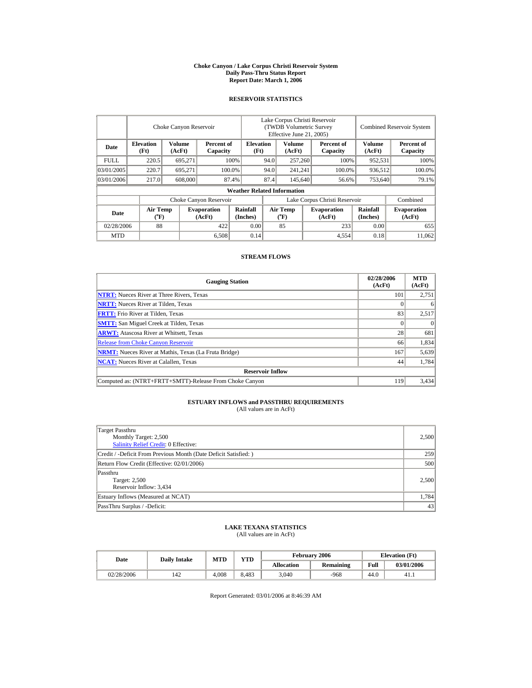#### **Choke Canyon / Lake Corpus Christi Reservoir System Daily Pass-Thru Status Report Report Date: March 1, 2006**

#### **RESERVOIR STATISTICS**

|             |                                             | Choke Canyon Reservoir  |                              |                                                    | Lake Corpus Christi Reservoir<br>(TWDB Volumetric Survey<br>Effective June 21, 2005) |                                       |         |                              |                      | <b>Combined Reservoir System</b> |
|-------------|---------------------------------------------|-------------------------|------------------------------|----------------------------------------------------|--------------------------------------------------------------------------------------|---------------------------------------|---------|------------------------------|----------------------|----------------------------------|
| Date        | <b>Elevation</b><br>(Ft)                    | <b>Volume</b><br>(AcFt) |                              | <b>Elevation</b><br>Percent of<br>(Ft)<br>Capacity |                                                                                      | Volume<br>(AcFt)                      |         | Percent of<br>Capacity       | Volume<br>(AcFt)     | Percent of<br>Capacity           |
| <b>FULL</b> | 220.5                                       | 695.271                 |                              | 100%<br>94.0                                       |                                                                                      | 257,260                               |         | 100%                         | 952,531              | 100%                             |
| 03/01/2005  | 220.7                                       | 695,271                 |                              | 94.0<br>100.0%                                     |                                                                                      | 241,241                               |         | 100.0%                       | 936,512              | 100.0%                           |
| 03/01/2006  | 217.0                                       | 608,000                 |                              | 87.4%                                              | 87.4                                                                                 |                                       | 145,640 | 56.6%                        | 753,640              | 79.1%                            |
|             |                                             |                         |                              | <b>Weather Related Information</b>                 |                                                                                      |                                       |         |                              |                      |                                  |
|             |                                             |                         | Choke Canyon Reservoir       |                                                    |                                                                                      | Lake Corpus Christi Reservoir         |         |                              |                      | Combined                         |
| Date        | <b>Air Temp</b><br>$({}^{\circ}\mathrm{F})$ |                         | <b>Evaporation</b><br>(AcFt) | Rainfall<br>(Inches)                               |                                                                                      | <b>Air Temp</b><br>$({}^o\mathrm{F})$ |         | <b>Evaporation</b><br>(AcFt) | Rainfall<br>(Inches) | <b>Evaporation</b><br>(AcFt)     |
| 02/28/2006  | 88                                          |                         | 422                          | 0.00                                               |                                                                                      | 85                                    |         | 233                          | 0.00                 | 655                              |
| <b>MTD</b>  |                                             |                         | 6,508                        | 0.14                                               |                                                                                      |                                       |         | 4,554                        | 0.18                 | 11,062                           |

#### **STREAM FLOWS**

| <b>Gauging Station</b>                                       | 02/28/2006<br>(AcFt) | <b>MTD</b><br>(AcFt) |
|--------------------------------------------------------------|----------------------|----------------------|
| <b>NTRT:</b> Nueces River at Three Rivers, Texas             | 101                  | 2.751                |
| <b>NRTT:</b> Nueces River at Tilden, Texas                   |                      | 6                    |
| <b>FRTT:</b> Frio River at Tilden, Texas                     | 83                   | 2,517                |
| <b>SMTT:</b> San Miguel Creek at Tilden, Texas               |                      | $\Omega$             |
| <b>ARWT:</b> Atascosa River at Whitsett, Texas               | 28                   | 681                  |
| <b>Release from Choke Canyon Reservoir</b>                   | 66                   | 1,834                |
| <b>NRMT:</b> Nueces River at Mathis, Texas (La Fruta Bridge) | 167                  | 5,639                |
| <b>NCAT:</b> Nueces River at Calallen, Texas                 | 44                   | 1,784                |
| <b>Reservoir Inflow</b>                                      |                      |                      |
| Computed as: (NTRT+FRTT+SMTT)-Release From Choke Canyon      | 119                  | 3.434                |

## **ESTUARY INFLOWS and PASSTHRU REQUIREMENTS**<br>(All values are in AcFt)

| Target Passthru<br>Monthly Target: 2,500<br>Salinity Relief Credit: 0 Effective: | 2,500 |
|----------------------------------------------------------------------------------|-------|
| Credit / -Deficit From Previous Month (Date Deficit Satisfied:)                  | 259   |
| Return Flow Credit (Effective: 02/01/2006)                                       | 500   |
| Passthru<br>Target: 2,500<br>Reservoir Inflow: 3,434                             | 2,500 |
| Estuary Inflows (Measured at NCAT)                                               | 1,784 |
| PassThru Surplus / -Deficit:                                                     | 43    |

# **LAKE TEXANA STATISTICS** (All values are in AcFt)

| Date       | <b>Daily Intake</b> | MTD   | <b>YTD</b> |                   | <b>February 2006</b> | <b>Elevation</b> (Ft) |            |
|------------|---------------------|-------|------------|-------------------|----------------------|-----------------------|------------|
|            |                     |       |            | <b>Allocation</b> | Remaining            | Full                  | 03/01/2006 |
| 02/28/2006 | 142                 | 4.008 | 8.483      | 3.040             | $-968$               | 44.0                  | 41.1       |

Report Generated: 03/01/2006 at 8:46:39 AM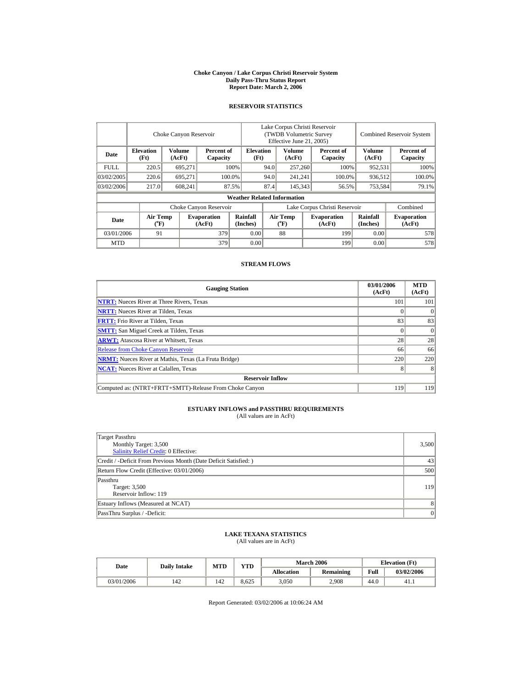#### **Choke Canyon / Lake Corpus Christi Reservoir System Daily Pass-Thru Status Report Report Date: March 2, 2006**

## **RESERVOIR STATISTICS**

|             |                                | Choke Canyon Reservoir |                              |                                    | Lake Corpus Christi Reservoir<br>(TWDB Volumetric Survey<br>Effective June 21, 2005) |                                    |         |                              |                         | <b>Combined Reservoir System</b> |
|-------------|--------------------------------|------------------------|------------------------------|------------------------------------|--------------------------------------------------------------------------------------|------------------------------------|---------|------------------------------|-------------------------|----------------------------------|
| Date        | <b>Elevation</b><br>(Ft)       | Volume<br>(AcFt)       | Percent of<br>Capacity       | <b>Elevation</b>                   | Volume<br>(AcFt)<br>(Ft)                                                             |                                    |         | Percent of<br>Capacity       | <b>Volume</b><br>(AcFt) | Percent of<br>Capacity           |
| <b>FULL</b> | 220.5                          | 695.271                |                              | 100%<br>94.0                       |                                                                                      | 257,260                            |         | 100%                         | 952.531                 | 100%                             |
| 03/02/2005  | 220.6                          | 695.271                |                              | 100.0%                             | 94.0                                                                                 | 241.241                            |         | 100.0%                       | 936.512                 | 100.0%                           |
| 03/02/2006  | 217.0                          | 608,241                |                              | 87.5%                              | 87.4                                                                                 |                                    | 145,343 | 56.5%                        | 753,584                 | 79.1%                            |
|             |                                |                        |                              | <b>Weather Related Information</b> |                                                                                      |                                    |         |                              |                         |                                  |
|             |                                |                        | Choke Canyon Reservoir       |                                    | Lake Corpus Christi Reservoir                                                        |                                    |         |                              |                         | Combined                         |
| Date        | Air Temp<br>$({}^o\mathrm{F})$ |                        | <b>Evaporation</b><br>(AcFt) | Rainfall<br>(Inches)               |                                                                                      | Air Temp<br>$({}^{\circ}\text{F})$ |         | <b>Evaporation</b><br>(AcFt) | Rainfall<br>(Inches)    | <b>Evaporation</b><br>(AcFt)     |
| 03/01/2006  | 91                             |                        | 379                          | 0.00                               |                                                                                      | 88                                 |         | 199                          | 0.00                    | 578                              |
| <b>MTD</b>  |                                |                        | 379                          | 0.00                               |                                                                                      |                                    |         | 199                          | 0.00                    | 578                              |

## **STREAM FLOWS**

| <b>Gauging Station</b>                                       | 03/01/2006<br>(AcFt) | <b>MTD</b><br>(AcFt) |
|--------------------------------------------------------------|----------------------|----------------------|
| <b>NTRT:</b> Nueces River at Three Rivers, Texas             | 101                  | 101                  |
| <b>NRTT:</b> Nueces River at Tilden, Texas                   |                      |                      |
| <b>FRTT:</b> Frio River at Tilden, Texas                     | 83                   | 83                   |
| <b>SMTT:</b> San Miguel Creek at Tilden, Texas               |                      | $\Omega$             |
| <b>ARWT:</b> Atascosa River at Whitsett, Texas               | 28                   | 28                   |
| <b>Release from Choke Canyon Reservoir</b>                   | 66                   | 66                   |
| <b>NRMT:</b> Nueces River at Mathis, Texas (La Fruta Bridge) | 220                  | 220                  |
| <b>NCAT:</b> Nueces River at Calallen, Texas                 | 8                    |                      |
| <b>Reservoir Inflow</b>                                      |                      |                      |
| Computed as: (NTRT+FRTT+SMTT)-Release From Choke Canyon      | 119                  | 119                  |

# **ESTUARY INFLOWS and PASSTHRU REQUIREMENTS**<br>(All values are in AcFt)

| Target Passthru<br>Monthly Target: 3,500<br><b>Salinity Relief Credit: 0 Effective:</b> | 3,500 |
|-----------------------------------------------------------------------------------------|-------|
| Credit / -Deficit From Previous Month (Date Deficit Satisfied:)                         | 43    |
| Return Flow Credit (Effective: 03/01/2006)                                              | 500   |
| Passthru<br>Target: 3,500<br>Reservoir Inflow: 119                                      | 119   |
| Estuary Inflows (Measured at NCAT)                                                      | 8     |
| PassThru Surplus / -Deficit:                                                            | 0     |

## **LAKE TEXANA STATISTICS** (All values are in AcFt)

| Date       | <b>Daily Intake</b> | MTD | <b>YTD</b> |            | <b>March 2006</b> | <b>Elevation</b> (Ft) |            |
|------------|---------------------|-----|------------|------------|-------------------|-----------------------|------------|
|            |                     |     |            | Allocation | <b>Remaining</b>  | Full                  | 03/02/2006 |
| 03/01/2006 | 142                 | 142 | 8.625      | 3.050      | 2.908             | 44.0                  | 41.1       |

Report Generated: 03/02/2006 at 10:06:24 AM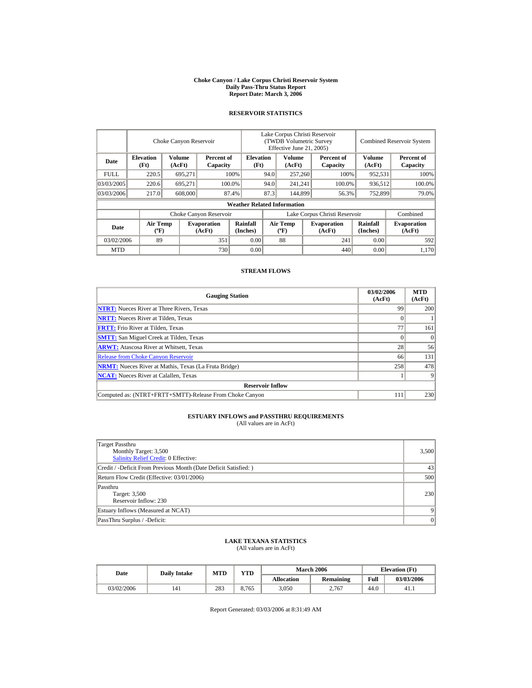#### **Choke Canyon / Lake Corpus Christi Reservoir System Daily Pass-Thru Status Report Report Date: March 3, 2006**

#### **RESERVOIR STATISTICS**

|            |                                             | Choke Canyon Reservoir |                              |                                                    | Lake Corpus Christi Reservoir<br>(TWDB Volumetric Survey<br>Effective June 21, 2005) |                                             |  |                              | <b>Combined Reservoir System</b> |                              |
|------------|---------------------------------------------|------------------------|------------------------------|----------------------------------------------------|--------------------------------------------------------------------------------------|---------------------------------------------|--|------------------------------|----------------------------------|------------------------------|
| Date       | <b>Elevation</b><br>(Ft)                    | Volume<br>(AcFt)       |                              | <b>Elevation</b><br>Percent of<br>(Ft)<br>Capacity |                                                                                      | Volume<br>(AcFt)                            |  | Percent of<br>Capacity       | Volume<br>(AcFt)                 | Percent of<br>Capacity       |
| FULL.      | 220.5                                       | 695,271                |                              | 100%                                               | 94.0                                                                                 | 257,260                                     |  | 100%                         | 952,531                          | 100%                         |
| 03/03/2005 | 220.6                                       | 695.271                |                              | 100.0%                                             | 94.0<br>241,241                                                                      |                                             |  | 100.0%                       | 936,512                          | 100.0%                       |
| 03/03/2006 | 217.0                                       | 608,000                |                              | 87.4%                                              | 87.3                                                                                 | 144,899                                     |  | 56.3%                        | 752,899                          | 79.0%                        |
|            |                                             |                        |                              | <b>Weather Related Information</b>                 |                                                                                      |                                             |  |                              |                                  |                              |
|            |                                             |                        | Choke Canyon Reservoir       |                                                    | Lake Corpus Christi Reservoir                                                        |                                             |  |                              |                                  | Combined                     |
| Date       | <b>Air Temp</b><br>$({}^{\circ}\mathrm{F})$ |                        | <b>Evaporation</b><br>(AcFt) | Rainfall<br>(Inches)                               |                                                                                      | <b>Air Temp</b><br>$({}^{\circ}\mathbf{F})$ |  | <b>Evaporation</b><br>(AcFt) | Rainfall<br>(Inches)             | <b>Evaporation</b><br>(AcFt) |
| 03/02/2006 | 89                                          |                        | 351                          | 0.00                                               |                                                                                      | 88                                          |  | 241                          | 0.00                             | 592                          |
| <b>MTD</b> |                                             |                        | 730                          | 0.00                                               |                                                                                      |                                             |  | 440                          | 0.00                             | 1.170                        |

#### **STREAM FLOWS**

| <b>Gauging Station</b>                                       | 03/02/2006<br>(AcFt) | <b>MTD</b><br>(AcFt) |
|--------------------------------------------------------------|----------------------|----------------------|
| <b>NTRT:</b> Nueces River at Three Rivers, Texas             | 99                   | 200                  |
| <b>NRTT:</b> Nueces River at Tilden, Texas                   |                      |                      |
| <b>FRTT:</b> Frio River at Tilden, Texas                     | 77                   | 161                  |
| <b>SMTT:</b> San Miguel Creek at Tilden, Texas               |                      | $\Omega$             |
| <b>ARWT:</b> Atascosa River at Whitsett, Texas               | 28                   | 56                   |
| <b>Release from Choke Canyon Reservoir</b>                   | 66                   | 131                  |
| <b>NRMT:</b> Nueces River at Mathis, Texas (La Fruta Bridge) | 258                  | 478                  |
| <b>NCAT:</b> Nueces River at Calallen, Texas                 |                      |                      |
| <b>Reservoir Inflow</b>                                      |                      |                      |
| Computed as: (NTRT+FRTT+SMTT)-Release From Choke Canyon      | 111                  | 230                  |

# **ESTUARY INFLOWS and PASSTHRU REQUIREMENTS**<br>(All values are in AcFt)

| Target Passthru<br>Monthly Target: 3,500<br>Salinity Relief Credit: 0 Effective: | 3,500   |
|----------------------------------------------------------------------------------|---------|
| Credit / -Deficit From Previous Month (Date Deficit Satisfied:)                  | 43      |
| Return Flow Credit (Effective: 03/01/2006)                                       | 500     |
| Passthru<br>Target: 3,500<br>Reservoir Inflow: 230                               | 230     |
| Estuary Inflows (Measured at NCAT)                                               |         |
| PassThru Surplus / -Deficit:                                                     | $\vert$ |

## **LAKE TEXANA STATISTICS**

(All values are in AcFt)

| Date       | <b>Daily Intake</b> | <b>MTD</b> | VTD   |                   | <b>March 2006</b> | <b>Elevation</b> (Ft) |            |
|------------|---------------------|------------|-------|-------------------|-------------------|-----------------------|------------|
|            |                     |            |       | <b>Allocation</b> | Remaining         | Full                  | 03/03/2006 |
| 03/02/2006 | 141                 | 283        | 8.765 | 3,050             | 2.767             | 44.0                  | 41.1       |

Report Generated: 03/03/2006 at 8:31:49 AM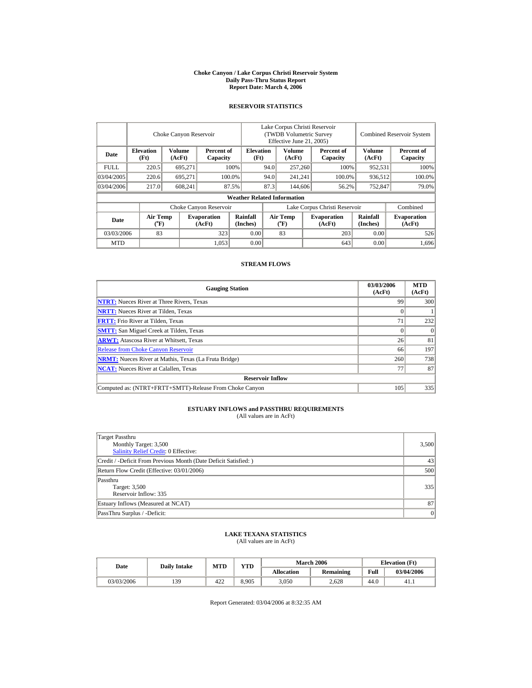#### **Choke Canyon / Lake Corpus Christi Reservoir System Daily Pass-Thru Status Report Report Date: March 4, 2006**

## **RESERVOIR STATISTICS**

|             |                                | Choke Canyon Reservoir  |                              |                                    | Lake Corpus Christi Reservoir<br>(TWDB Volumetric Survey<br>Effective June 21, 2005) |                                    |                  |                              |                         | <b>Combined Reservoir System</b> |
|-------------|--------------------------------|-------------------------|------------------------------|------------------------------------|--------------------------------------------------------------------------------------|------------------------------------|------------------|------------------------------|-------------------------|----------------------------------|
| Date        | <b>Elevation</b><br>(Ft)       | <b>Volume</b><br>(AcFt) | Percent of<br>Capacity       | <b>Elevation</b><br>(Ft)           |                                                                                      | <b>Volume</b><br>(AcFt)            |                  | Percent of<br>Capacity       | <b>Volume</b><br>(AcFt) | Percent of<br>Capacity           |
| <b>FULL</b> | 220.5                          | 695.271                 |                              | 100%<br>94.0                       |                                                                                      | 257,260                            |                  | 100%                         | 952.531                 | 100%                             |
| 03/04/2005  | 220.6                          | 695.271                 |                              | 100.0%                             | 94.0                                                                                 | 241.241                            | 100.0%           |                              | 936.512                 | 100.0%                           |
| 03/04/2006  | 217.0                          | 608,241                 |                              | 87.5%                              | 87.3                                                                                 |                                    | 144,606<br>56.2% |                              | 752,847                 | 79.0%                            |
|             |                                |                         |                              | <b>Weather Related Information</b> |                                                                                      |                                    |                  |                              |                         |                                  |
|             |                                |                         | Choke Canyon Reservoir       |                                    | Lake Corpus Christi Reservoir                                                        |                                    |                  |                              |                         | Combined                         |
| Date        | Air Temp<br>$({}^o\mathrm{F})$ |                         | <b>Evaporation</b><br>(AcFt) | Rainfall<br>(Inches)               |                                                                                      | Air Temp<br>$({}^{\circ}\text{F})$ |                  | <b>Evaporation</b><br>(AcFt) | Rainfall<br>(Inches)    | <b>Evaporation</b><br>(AcFt)     |
| 03/03/2006  | 83                             |                         | 323                          | 0.00                               |                                                                                      | 83                                 |                  | 203                          | 0.00                    | 526                              |
| <b>MTD</b>  |                                |                         | 1.053                        | 0.00                               |                                                                                      |                                    |                  | 643                          | 0.00                    | 1,696                            |

## **STREAM FLOWS**

| <b>Gauging Station</b>                                       | 03/03/2006<br>(AcFt) | <b>MTD</b><br>(AcFt) |
|--------------------------------------------------------------|----------------------|----------------------|
| <b>NTRT:</b> Nueces River at Three Rivers, Texas             | 99                   | 300                  |
| <b>NRTT:</b> Nueces River at Tilden, Texas                   |                      |                      |
| <b>FRTT:</b> Frio River at Tilden, Texas                     | 71                   | 232                  |
| <b>SMTT:</b> San Miguel Creek at Tilden, Texas               |                      | $\Omega$             |
| <b>ARWT:</b> Atascosa River at Whitsett, Texas               | 26                   | 81                   |
| <b>Release from Choke Canyon Reservoir</b>                   | 66                   | 197                  |
| <b>NRMT:</b> Nueces River at Mathis, Texas (La Fruta Bridge) | 260                  | 738                  |
| <b>NCAT:</b> Nueces River at Calallen, Texas                 | 77                   | 87                   |
| <b>Reservoir Inflow</b>                                      |                      |                      |
| Computed as: (NTRT+FRTT+SMTT)-Release From Choke Canyon      | 105                  | 335                  |

# **ESTUARY INFLOWS and PASSTHRU REQUIREMENTS**<br>(All values are in AcFt)

| Target Passthru<br>Monthly Target: 3,500<br><b>Salinity Relief Credit: 0 Effective:</b> | 3,500 |
|-----------------------------------------------------------------------------------------|-------|
| Credit / -Deficit From Previous Month (Date Deficit Satisfied:)                         | 43    |
| Return Flow Credit (Effective: 03/01/2006)                                              | 500   |
| Passthru<br>Target: 3,500<br>Reservoir Inflow: 335                                      | 335   |
| Estuary Inflows (Measured at NCAT)                                                      | 87    |
| PassThru Surplus / -Deficit:                                                            | 0     |

## **LAKE TEXANA STATISTICS** (All values are in AcFt)

| Date       |     | <b>YTD</b><br>MTD<br><b>Daily Intake</b> |       |            | <b>March 2006</b> | <b>Elevation</b> (Ft) |            |
|------------|-----|------------------------------------------|-------|------------|-------------------|-----------------------|------------|
|            |     |                                          |       | Allocation | <b>Remaining</b>  | Full                  | 03/04/2006 |
| 03/03/2006 | 139 | 422                                      | 8.905 | 3,050      | 2.628             | 44.0                  | 41.1       |

Report Generated: 03/04/2006 at 8:32:35 AM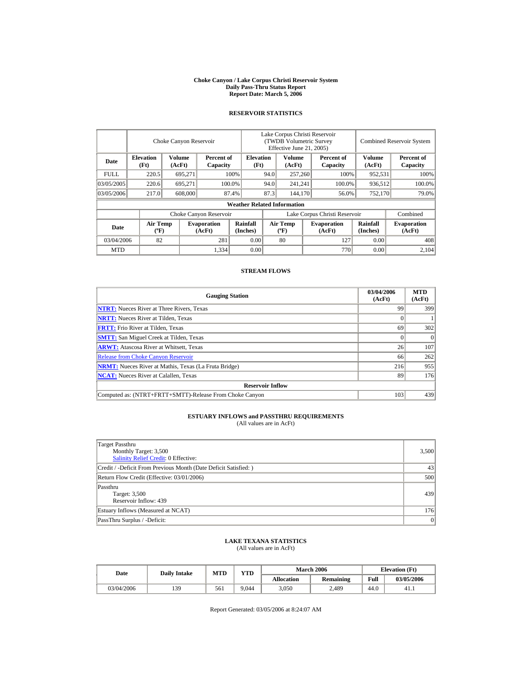#### **Choke Canyon / Lake Corpus Christi Reservoir System Daily Pass-Thru Status Report Report Date: March 5, 2006**

#### **RESERVOIR STATISTICS**

|             |                                       | Choke Canyon Reservoir |                              |                                    | Lake Corpus Christi Reservoir<br>(TWDB Volumetric Survey<br>Effective June 21, 2005) |                                          |  |                              |                             | <b>Combined Reservoir System</b> |
|-------------|---------------------------------------|------------------------|------------------------------|------------------------------------|--------------------------------------------------------------------------------------|------------------------------------------|--|------------------------------|-----------------------------|----------------------------------|
| Date        | <b>Elevation</b><br>(Ft)              | Volume<br>(AcFt)       | Percent of<br>Capacity       | <b>Elevation</b><br>(Ft)           |                                                                                      | Volume<br>(AcFt)                         |  | Percent of<br>Capacity       | <b>Volume</b><br>(AcFt)     | Percent of<br>Capacity           |
| <b>FULL</b> | 220.5                                 | 695,271                |                              | 100%                               | 94.0                                                                                 | 257,260                                  |  | 100%                         | 952,531                     | 100%                             |
| 03/05/2005  | 220.6                                 | 695.271                |                              | 100.0%                             | 94.0                                                                                 | 241,241                                  |  | 100.0%                       | 936,512                     | 100.0%                           |
| 03/05/2006  | 217.0                                 | 608,000                |                              | 87.4%                              | 87.3                                                                                 | 144,170                                  |  | 56.0%                        | 752,170                     | 79.0%                            |
|             |                                       |                        |                              | <b>Weather Related Information</b> |                                                                                      |                                          |  |                              |                             |                                  |
|             |                                       |                        | Choke Canyon Reservoir       |                                    | Lake Corpus Christi Reservoir                                                        |                                          |  |                              | Combined                    |                                  |
| Date        | <b>Air Temp</b><br>$({}^o\mathrm{F})$ |                        | <b>Evaporation</b><br>(AcFt) | <b>Rainfall</b><br>(Inches)        |                                                                                      | <b>Air Temp</b><br>$({}^{\circ}{\rm F})$ |  | <b>Evaporation</b><br>(AcFt) | <b>Rainfall</b><br>(Inches) | <b>Evaporation</b><br>(AcFt)     |
| 03/04/2006  | 82                                    |                        | 281                          | 0.00                               |                                                                                      | 80                                       |  | 127                          | 0.00                        | 408                              |
| <b>MTD</b>  |                                       |                        | 1,334                        | 0.00                               |                                                                                      |                                          |  | 770                          | 0.00                        | 2.104                            |

#### **STREAM FLOWS**

| <b>Gauging Station</b>                                       | 03/04/2006<br>(AcFt) | <b>MTD</b><br>(AcFt) |
|--------------------------------------------------------------|----------------------|----------------------|
| <b>NTRT:</b> Nueces River at Three Rivers, Texas             | 99                   | 399                  |
| <b>NRTT:</b> Nueces River at Tilden, Texas                   |                      |                      |
| <b>FRTT:</b> Frio River at Tilden, Texas                     | 69                   | 302                  |
| <b>SMTT:</b> San Miguel Creek at Tilden, Texas               |                      | $\Omega$             |
| <b>ARWT:</b> Atascosa River at Whitsett, Texas               | 26                   | 107                  |
| <b>Release from Choke Canyon Reservoir</b>                   | 66                   | 262                  |
| <b>NRMT:</b> Nueces River at Mathis, Texas (La Fruta Bridge) | 216                  | 955                  |
| <b>NCAT:</b> Nueces River at Calallen. Texas                 | 89                   | 176                  |
| <b>Reservoir Inflow</b>                                      |                      |                      |
| Computed as: (NTRT+FRTT+SMTT)-Release From Choke Canyon      | 103                  | 439                  |

# **ESTUARY INFLOWS and PASSTHRU REQUIREMENTS**<br>(All values are in AcFt)

| Target Passthru<br>Monthly Target: 3,500<br><b>Salinity Relief Credit: 0 Effective:</b> | 3,500 |
|-----------------------------------------------------------------------------------------|-------|
| Credit / -Deficit From Previous Month (Date Deficit Satisfied:)                         | 43    |
| Return Flow Credit (Effective: 03/01/2006)                                              | 500   |
| Passthru<br>Target: 3,500<br>Reservoir Inflow: 439                                      | 439   |
| Estuary Inflows (Measured at NCAT)                                                      | 176   |
| PassThru Surplus / -Deficit:                                                            | 0     |

## **LAKE TEXANA STATISTICS**

(All values are in AcFt)

| Date       | <b>Daily Intake</b> | MTD | <b>YTD</b> |                   | <b>March 2006</b> | <b>Elevation</b> (Ft) |            |
|------------|---------------------|-----|------------|-------------------|-------------------|-----------------------|------------|
|            |                     |     |            | <b>Allocation</b> | Remaining         | Full                  | 03/05/2006 |
| 03/04/2006 | 139                 | 561 | 9.044      | 3,050             | 2.489             | 44.0                  | 41.1       |

Report Generated: 03/05/2006 at 8:24:07 AM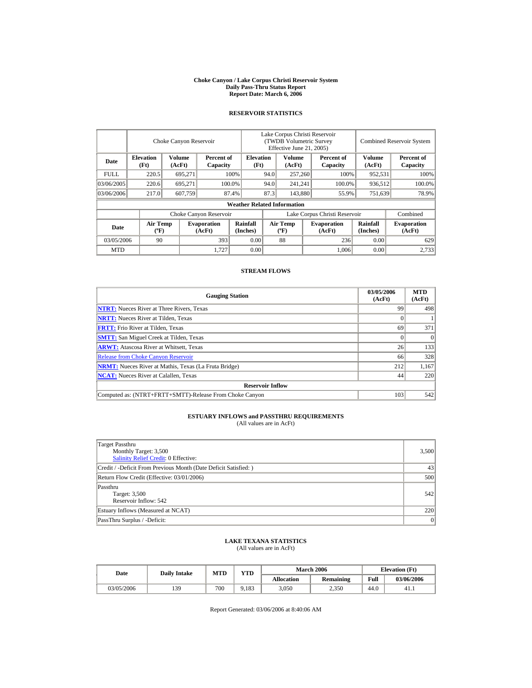#### **Choke Canyon / Lake Corpus Christi Reservoir System Daily Pass-Thru Status Report Report Date: March 6, 2006**

## **RESERVOIR STATISTICS**

|             |                                       | Choke Canyon Reservoir |                              |                                    | Lake Corpus Christi Reservoir<br>(TWDB Volumetric Survey<br>Effective June 21, 2005) |                                          |  |                              |                             | <b>Combined Reservoir System</b> |
|-------------|---------------------------------------|------------------------|------------------------------|------------------------------------|--------------------------------------------------------------------------------------|------------------------------------------|--|------------------------------|-----------------------------|----------------------------------|
| Date        | <b>Elevation</b><br>(Ft)              | Volume<br>(AcFt)       | Percent of<br>Capacity       | <b>Elevation</b><br>(Ft)           |                                                                                      | Volume<br>(AcFt)                         |  | Percent of<br>Capacity       | <b>Volume</b><br>(AcFt)     | Percent of<br>Capacity           |
| <b>FULL</b> | 220.5                                 | 695,271                |                              | 100%                               | 94.0                                                                                 | 257,260                                  |  | 100%                         | 952,531                     | 100%                             |
| 03/06/2005  | 220.6                                 | 695.271                |                              | 100.0%                             | 94.0                                                                                 | 241,241                                  |  | 100.0%                       | 936,512                     | 100.0%                           |
| 03/06/2006  | 217.0                                 | 607.759                |                              | 87.4%                              | 87.3                                                                                 | 143,880                                  |  | 55.9%                        | 751,639                     | 78.9%                            |
|             |                                       |                        |                              | <b>Weather Related Information</b> |                                                                                      |                                          |  |                              |                             |                                  |
|             |                                       |                        | Choke Canyon Reservoir       |                                    | Lake Corpus Christi Reservoir                                                        |                                          |  |                              |                             | Combined                         |
| Date        | <b>Air Temp</b><br>$({}^o\mathrm{F})$ |                        | <b>Evaporation</b><br>(AcFt) | <b>Rainfall</b><br>(Inches)        |                                                                                      | <b>Air Temp</b><br>$({}^{\circ}{\rm F})$ |  | <b>Evaporation</b><br>(AcFt) | <b>Rainfall</b><br>(Inches) | <b>Evaporation</b><br>(AcFt)     |
| 03/05/2006  | 90                                    |                        | 393                          | 0.00                               |                                                                                      | 88                                       |  | 236                          | 0.00                        | 629                              |
| <b>MTD</b>  |                                       |                        | 1.727                        | 0.00                               |                                                                                      |                                          |  | 1.006                        | 0.00                        | 2.733                            |

#### **STREAM FLOWS**

| <b>Gauging Station</b>                                       | 03/05/2006<br>(AcFt) | <b>MTD</b><br>(AcFt) |
|--------------------------------------------------------------|----------------------|----------------------|
| <b>NTRT:</b> Nueces River at Three Rivers, Texas             | 99                   | 498                  |
| <b>NRTT:</b> Nueces River at Tilden, Texas                   |                      |                      |
| <b>FRTT:</b> Frio River at Tilden, Texas                     | 69                   | 371                  |
| <b>SMTT:</b> San Miguel Creek at Tilden, Texas               |                      | $\Omega$             |
| <b>ARWT:</b> Atascosa River at Whitsett, Texas               | 26                   | 133                  |
| <b>Release from Choke Canyon Reservoir</b>                   | 66                   | 328                  |
| <b>NRMT:</b> Nueces River at Mathis, Texas (La Fruta Bridge) | 212                  | 1,167                |
| <b>NCAT:</b> Nueces River at Calallen. Texas                 | 44                   | 220                  |
| <b>Reservoir Inflow</b>                                      |                      |                      |
| Computed as: (NTRT+FRTT+SMTT)-Release From Choke Canyon      | 103                  | 542                  |

# **ESTUARY INFLOWS and PASSTHRU REQUIREMENTS**<br>(All values are in AcFt)

| Target Passthru<br>Monthly Target: 3,500<br>Salinity Relief Credit: 0 Effective: | 3,500 |
|----------------------------------------------------------------------------------|-------|
| Credit / -Deficit From Previous Month (Date Deficit Satisfied:)                  | 43    |
| Return Flow Credit (Effective: 03/01/2006)                                       | 500   |
| Passthru<br>Target: 3,500<br>Reservoir Inflow: 542                               | 542   |
| Estuary Inflows (Measured at NCAT)                                               | 220   |
| PassThru Surplus / -Deficit:                                                     | 0     |

## **LAKE TEXANA STATISTICS**

(All values are in AcFt)

| Date       | <b>Daily Intake</b> | <b>MTD</b> | VTD   |                   | <b>March 2006</b> |      | <b>Elevation</b> (Ft) |
|------------|---------------------|------------|-------|-------------------|-------------------|------|-----------------------|
|            |                     |            |       | <b>Allocation</b> | Remaining         | Full | 03/06/2006            |
| 03/05/2006 | 139                 | 700        | 9.183 | 3,050             | 2.350             | 44.0 | 41.1                  |

Report Generated: 03/06/2006 at 8:40:06 AM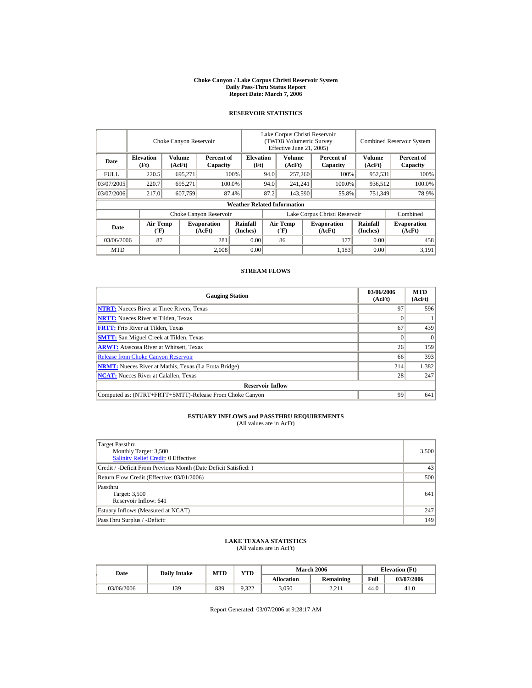#### **Choke Canyon / Lake Corpus Christi Reservoir System Daily Pass-Thru Status Report Report Date: March 7, 2006**

#### **RESERVOIR STATISTICS**

|            | Choke Canyon Reservoir                      |                  |                              |                                    | Lake Corpus Christi Reservoir<br>(TWDB Volumetric Survey<br>Effective June 21, 2005) |                                             |         |                              | <b>Combined Reservoir System</b> |                              |  |
|------------|---------------------------------------------|------------------|------------------------------|------------------------------------|--------------------------------------------------------------------------------------|---------------------------------------------|---------|------------------------------|----------------------------------|------------------------------|--|
| Date       | <b>Elevation</b><br>(Ft)                    | Volume<br>(AcFt) | Percent of<br>Capacity       | <b>Elevation</b><br>(Ft)           |                                                                                      | Volume<br>(AcFt)                            |         | Percent of<br>Capacity       | Volume<br>(AcFt)                 | Percent of<br>Capacity       |  |
| FULL.      | 220.5                                       | 695,271          |                              | 100%                               | 94.0                                                                                 | 257,260                                     |         | 100%                         | 952,531                          | 100%                         |  |
| 03/07/2005 | 220.7                                       | 695.271          |                              | 100.0%                             | 94.0                                                                                 |                                             | 241,241 | 100.0%                       | 936,512                          | 100.0%                       |  |
| 03/07/2006 | 217.0                                       | 607.759          |                              | 87.4%                              | 87.2                                                                                 | 143,590                                     |         | 55.8%                        | 751,349                          | 78.9%                        |  |
|            |                                             |                  |                              | <b>Weather Related Information</b> |                                                                                      |                                             |         |                              |                                  |                              |  |
|            |                                             |                  | Choke Canyon Reservoir       |                                    | Lake Corpus Christi Reservoir                                                        |                                             |         |                              |                                  | Combined                     |  |
| Date       | <b>Air Temp</b><br>$({}^{\circ}\mathrm{F})$ |                  | <b>Evaporation</b><br>(AcFt) | Rainfall<br>(Inches)               |                                                                                      | <b>Air Temp</b><br>$({}^{\circ}\mathbf{F})$ |         | <b>Evaporation</b><br>(AcFt) | Rainfall<br>(Inches)             | <b>Evaporation</b><br>(AcFt) |  |
| 03/06/2006 | 87                                          |                  | 281                          | 0.00                               |                                                                                      | 86                                          |         | 177                          | 0.00                             | 458                          |  |
| <b>MTD</b> |                                             |                  | 2.008                        | 0.00                               |                                                                                      |                                             |         | 1,183                        | 0.00                             | 3.191                        |  |

#### **STREAM FLOWS**

| <b>Gauging Station</b>                                       | 03/06/2006<br>(AcFt) | <b>MTD</b><br>(AcFt) |
|--------------------------------------------------------------|----------------------|----------------------|
| <b>NTRT:</b> Nueces River at Three Rivers, Texas             | 97                   | 596                  |
| <b>NRTT:</b> Nueces River at Tilden, Texas                   |                      |                      |
| <b>FRTT:</b> Frio River at Tilden, Texas                     | 67                   | 439                  |
| <b>SMTT:</b> San Miguel Creek at Tilden, Texas               |                      | $\Omega$             |
| <b>ARWT:</b> Atascosa River at Whitsett, Texas               | 26                   | 159                  |
| <b>Release from Choke Canyon Reservoir</b>                   | 66                   | 393                  |
| <b>NRMT:</b> Nueces River at Mathis, Texas (La Fruta Bridge) | 214                  | 1,382                |
| <b>NCAT:</b> Nueces River at Calallen, Texas                 | 28                   | 247                  |
| <b>Reservoir Inflow</b>                                      |                      |                      |
| Computed as: (NTRT+FRTT+SMTT)-Release From Choke Canyon      | 99                   | 641                  |

# **ESTUARY INFLOWS and PASSTHRU REQUIREMENTS**<br>(All values are in AcFt)

| Target Passthru<br>Monthly Target: 3,500<br>Salinity Relief Credit: 0 Effective: | 3,500 |
|----------------------------------------------------------------------------------|-------|
| Credit / -Deficit From Previous Month (Date Deficit Satisfied:)                  | 43    |
| Return Flow Credit (Effective: 03/01/2006)                                       | 500   |
| Passthru<br>Target: 3,500<br>Reservoir Inflow: 641                               | 641   |
| Estuary Inflows (Measured at NCAT)                                               | 247   |
| PassThru Surplus / -Deficit:                                                     | 149   |

## **LAKE TEXANA STATISTICS**

(All values are in AcFt)

| Date       | <b>Daily Intake</b> | <b>MTD</b> | <b>VTD</b> |                   | <b>March 2006</b> | <b>Elevation</b> (Ft) |            |
|------------|---------------------|------------|------------|-------------------|-------------------|-----------------------|------------|
|            |                     |            |            | <b>Allocation</b> | Remaining         | Full                  | 03/07/2006 |
| 03/06/2006 | 139                 | 839        | 9.322      | 3,050             | າ າ 1<br>4.41     | 44.0                  | 41.0       |

Report Generated: 03/07/2006 at 9:28:17 AM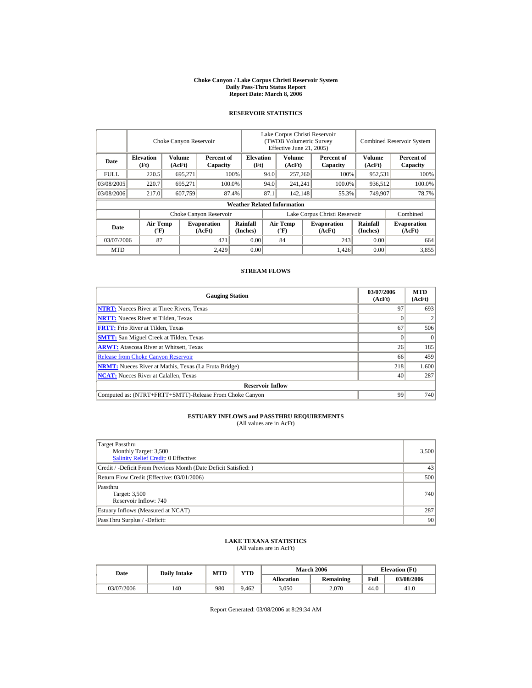#### **Choke Canyon / Lake Corpus Christi Reservoir System Daily Pass-Thru Status Report Report Date: March 8, 2006**

## **RESERVOIR STATISTICS**

|             | Choke Canyon Reservoir                      |                  |                              |                                    | Lake Corpus Christi Reservoir<br>(TWDB Volumetric Survey<br>Effective June 21, 2005) |                                             |                  |                              | <b>Combined Reservoir System</b> |                              |  |
|-------------|---------------------------------------------|------------------|------------------------------|------------------------------------|--------------------------------------------------------------------------------------|---------------------------------------------|------------------|------------------------------|----------------------------------|------------------------------|--|
| Date        | <b>Elevation</b><br>(Ft)                    | Volume<br>(AcFt) | Percent of<br>Capacity       | <b>Elevation</b><br>(Ft)           |                                                                                      | Volume<br>(AcFt)                            |                  | Percent of<br>Capacity       | Volume<br>(AcFt)                 | Percent of<br>Capacity       |  |
| <b>FULL</b> | 220.5                                       | 695,271          |                              | 100%                               | 94.0                                                                                 | 257,260                                     |                  | 100%                         | 952,531                          | 100%                         |  |
| 03/08/2005  | 220.7                                       | 695.271          |                              | 100.0%                             | 94.0                                                                                 | 241,241                                     |                  | 100.0%                       | 936,512                          | 100.0%                       |  |
| 03/08/2006  | 217.0                                       | 607.759          |                              | 87.4%                              | 87.1                                                                                 |                                             | 142.148<br>55.3% |                              | 749,907                          | 78.7%                        |  |
|             |                                             |                  |                              | <b>Weather Related Information</b> |                                                                                      |                                             |                  |                              |                                  |                              |  |
|             |                                             |                  | Choke Canyon Reservoir       |                                    | Lake Corpus Christi Reservoir                                                        |                                             |                  |                              |                                  | Combined                     |  |
| Date        | <b>Air Temp</b><br>$({}^{\circ}\mathrm{F})$ |                  | <b>Evaporation</b><br>(AcFt) | Rainfall<br>(Inches)               |                                                                                      | <b>Air Temp</b><br>$({}^{\circ}\mathbf{F})$ |                  | <b>Evaporation</b><br>(AcFt) | <b>Rainfall</b><br>(Inches)      | <b>Evaporation</b><br>(AcFt) |  |
| 03/07/2006  | 87                                          |                  | 421                          | 0.00                               |                                                                                      | 84                                          |                  | 243                          | 0.00                             | 664                          |  |
| <b>MTD</b>  |                                             |                  | 2.429                        | 0.00                               |                                                                                      |                                             |                  | 1,426                        | 0.00                             | 3,855                        |  |

#### **STREAM FLOWS**

| <b>Gauging Station</b>                                       | 03/07/2006<br>(AcFt) | <b>MTD</b><br>(AcFt) |
|--------------------------------------------------------------|----------------------|----------------------|
| <b>NTRT:</b> Nueces River at Three Rivers, Texas             | 97                   | 693                  |
| <b>NRTT:</b> Nueces River at Tilden, Texas                   |                      |                      |
| <b>FRTT:</b> Frio River at Tilden, Texas                     | 67                   | 506                  |
| <b>SMTT:</b> San Miguel Creek at Tilden, Texas               |                      | $\Omega$             |
| <b>ARWT:</b> Atascosa River at Whitsett, Texas               | 26                   | 185                  |
| <b>Release from Choke Canyon Reservoir</b>                   | 66                   | 459                  |
| <b>NRMT:</b> Nueces River at Mathis, Texas (La Fruta Bridge) | 218                  | 1,600                |
| <b>NCAT:</b> Nueces River at Calallen. Texas                 | 40                   | 287                  |
| <b>Reservoir Inflow</b>                                      |                      |                      |
| Computed as: (NTRT+FRTT+SMTT)-Release From Choke Canyon      | 99                   | 740                  |

# **ESTUARY INFLOWS and PASSTHRU REQUIREMENTS**<br>(All values are in AcFt)

| Target Passthru<br>Monthly Target: 3,500<br><b>Salinity Relief Credit: 0 Effective:</b> | 3,500            |
|-----------------------------------------------------------------------------------------|------------------|
| Credit / -Deficit From Previous Month (Date Deficit Satisfied:)                         | 43               |
| Return Flow Credit (Effective: 03/01/2006)                                              | 500              |
| Passthru<br>Target: 3,500<br>Reservoir Inflow: 740                                      | 740 <sup> </sup> |
| Estuary Inflows (Measured at NCAT)                                                      | 287              |
| PassThru Surplus / -Deficit:                                                            | 90               |

## **LAKE TEXANA STATISTICS**

(All values are in AcFt)

| Date       | <b>Daily Intake</b> | <b>MTD</b> | VTD   |                   | <b>March 2006</b> | <b>Elevation</b> (Ft) |            |
|------------|---------------------|------------|-------|-------------------|-------------------|-----------------------|------------|
|            |                     |            |       | <b>Allocation</b> | Remaining         | Full                  | 03/08/2006 |
| 03/07/2006 | 40                  | 980        | 9.462 | 3,050             | 2.070             | 44.0                  | 41.0       |

Report Generated: 03/08/2006 at 8:29:34 AM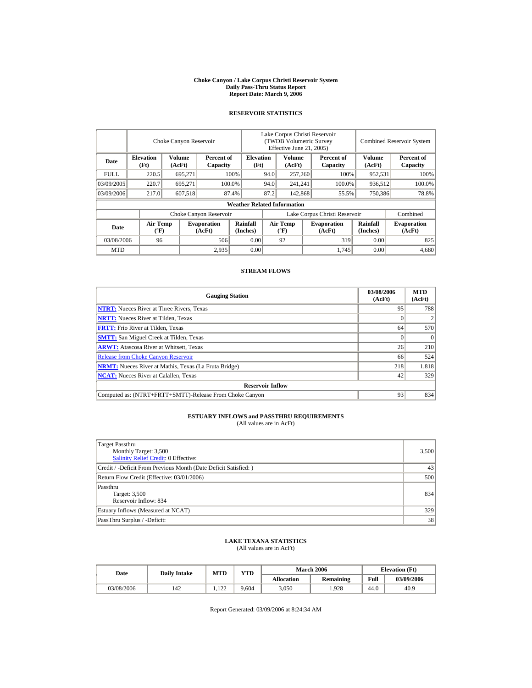#### **Choke Canyon / Lake Corpus Christi Reservoir System Daily Pass-Thru Status Report Report Date: March 9, 2006**

## **RESERVOIR STATISTICS**

|             |                                             | Choke Canyon Reservoir  |                              |                                    | Lake Corpus Christi Reservoir<br><b>(TWDB Volumetric Survey)</b><br>Effective June 21, 2005) |                                          |  |                              |                             | <b>Combined Reservoir System</b> |
|-------------|---------------------------------------------|-------------------------|------------------------------|------------------------------------|----------------------------------------------------------------------------------------------|------------------------------------------|--|------------------------------|-----------------------------|----------------------------------|
| Date        | <b>Elevation</b><br>(Ft)                    | <b>Volume</b><br>(AcFt) | Percent of<br>Capacity       | <b>Elevation</b><br>(Ft)           |                                                                                              | Volume<br>(AcFt)                         |  | Percent of<br>Capacity       | <b>Volume</b><br>(AcFt)     | Percent of<br>Capacity           |
| <b>FULL</b> | 220.5                                       | 695,271                 |                              | 100%                               | 94.0                                                                                         | 257,260                                  |  | 100%                         | 952,531                     | 100%                             |
| 03/09/2005  | 220.7                                       | 695.271                 |                              | 100.0%<br>94.0                     |                                                                                              | 241,241                                  |  | 100.0%                       | 936,512                     | 100.0%                           |
| 03/09/2006  | 217.0                                       | 607,518                 |                              | 87.4%                              | 87.2                                                                                         | 142,868                                  |  | 55.5%                        | 750,386                     | 78.8%                            |
|             |                                             |                         |                              | <b>Weather Related Information</b> |                                                                                              |                                          |  |                              |                             |                                  |
|             |                                             |                         | Choke Canyon Reservoir       |                                    | Lake Corpus Christi Reservoir                                                                |                                          |  |                              |                             | Combined                         |
| Date        | <b>Air Temp</b><br>$({}^{\circ}\mathrm{F})$ |                         | <b>Evaporation</b><br>(AcFt) | <b>Rainfall</b><br>(Inches)        |                                                                                              | <b>Air Temp</b><br>$({}^{\circ}{\rm F})$ |  | <b>Evaporation</b><br>(AcFt) | <b>Rainfall</b><br>(Inches) | <b>Evaporation</b><br>(AcFt)     |
| 03/08/2006  | 96                                          |                         | 506                          | 0.00                               |                                                                                              | 92                                       |  | 319                          | 0.00                        | 825                              |
| <b>MTD</b>  |                                             |                         | 2,935                        | 0.00                               |                                                                                              |                                          |  | 1,745                        | 0.00                        | 4,680                            |

#### **STREAM FLOWS**

| <b>Gauging Station</b>                                       | 03/08/2006<br>(AcFt) | <b>MTD</b><br>(AcFt) |
|--------------------------------------------------------------|----------------------|----------------------|
| <b>NTRT:</b> Nueces River at Three Rivers, Texas             | 95                   | 788                  |
| <b>NRTT:</b> Nueces River at Tilden, Texas                   |                      |                      |
| <b>FRTT:</b> Frio River at Tilden, Texas                     | 64                   | 570                  |
| <b>SMTT:</b> San Miguel Creek at Tilden, Texas               |                      | $\Omega$             |
| <b>ARWT:</b> Atascosa River at Whitsett, Texas               | 26                   | 210                  |
| <b>Release from Choke Canyon Reservoir</b>                   | 66                   | 524                  |
| <b>NRMT:</b> Nueces River at Mathis, Texas (La Fruta Bridge) | 218                  | 1,818                |
| <b>NCAT:</b> Nueces River at Calallen, Texas                 | 42                   | 329                  |
| <b>Reservoir Inflow</b>                                      |                      |                      |
| Computed as: (NTRT+FRTT+SMTT)-Release From Choke Canyon      | 93                   | 834                  |

# **ESTUARY INFLOWS and PASSTHRU REQUIREMENTS**<br>(All values are in AcFt)

| Target Passthru<br>Monthly Target: 3,500<br><b>Salinity Relief Credit: 0 Effective:</b> | 3,500 |
|-----------------------------------------------------------------------------------------|-------|
| Credit / -Deficit From Previous Month (Date Deficit Satisfied:)                         | 43    |
| Return Flow Credit (Effective: 03/01/2006)                                              | 500   |
| Passthru<br>Target: 3,500<br>Reservoir Inflow: 834                                      | 834   |
| Estuary Inflows (Measured at NCAT)                                                      | 329   |
| PassThru Surplus / -Deficit:                                                            | 38    |

## **LAKE TEXANA STATISTICS**

(All values are in AcFt)

| Date       | <b>Daily Intake</b> | <b>MTD</b>     | <b>VTD</b> |                   | <b>March 2006</b> | <b>Elevation</b> (Ft) |            |
|------------|---------------------|----------------|------------|-------------------|-------------------|-----------------------|------------|
|            |                     |                |            | <b>Allocation</b> | Remaining         | Full                  | 03/09/2006 |
| 03/08/2006 | 142                 | 122<br>$-1120$ | 9.604      | 3,050             | 1.928             | 44.0                  | 40.9       |

Report Generated: 03/09/2006 at 8:24:34 AM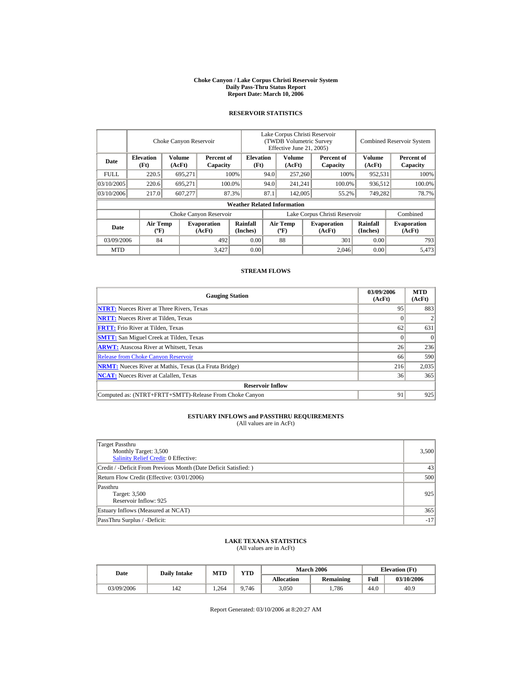#### **Choke Canyon / Lake Corpus Christi Reservoir System Daily Pass-Thru Status Report Report Date: March 10, 2006**

#### **RESERVOIR STATISTICS**

|             |                                       | Choke Canyon Reservoir |                              |                                    | Lake Corpus Christi Reservoir<br>(TWDB Volumetric Survey<br>Effective June 21, 2005) |                                          |  |                              | <b>Combined Reservoir System</b> |                              |
|-------------|---------------------------------------|------------------------|------------------------------|------------------------------------|--------------------------------------------------------------------------------------|------------------------------------------|--|------------------------------|----------------------------------|------------------------------|
| Date        | <b>Elevation</b><br>(Ft)              | Volume<br>(AcFt)       | Percent of<br>Capacity       | <b>Elevation</b><br>(Ft)           |                                                                                      | Volume<br>(AcFt)                         |  | Percent of<br>Capacity       | Volume<br>(AcFt)                 | Percent of<br>Capacity       |
| <b>FULL</b> | 220.5                                 | 695,271                |                              | 100%                               | 94.0                                                                                 | 257,260                                  |  | 100%                         | 952,531                          | 100%                         |
| 03/10/2005  | 220.6                                 | 695,271                |                              | 100.0%                             | 94.0                                                                                 | 241,241                                  |  | 100.0%                       | 936,512                          | 100.0%                       |
| 03/10/2006  | 217.0                                 | 607.277                |                              | 87.3%                              | 87.1                                                                                 | 142,005                                  |  | 55.2%                        | 749,282                          | 78.7%                        |
|             |                                       |                        |                              | <b>Weather Related Information</b> |                                                                                      |                                          |  |                              |                                  |                              |
|             |                                       |                        | Choke Canyon Reservoir       |                                    | Lake Corpus Christi Reservoir                                                        |                                          |  |                              |                                  | Combined                     |
| Date        | <b>Air Temp</b><br>$({}^o\mathrm{F})$ |                        | <b>Evaporation</b><br>(AcFt) | <b>Rainfall</b><br>(Inches)        |                                                                                      | <b>Air Temp</b><br>$({}^{\circ}{\rm F})$ |  | <b>Evaporation</b><br>(AcFt) | <b>Rainfall</b><br>(Inches)      | <b>Evaporation</b><br>(AcFt) |
| 03/09/2006  | 84                                    |                        | 492                          | 0.00                               |                                                                                      | 88                                       |  | 301                          | 0.00                             | 793                          |
| <b>MTD</b>  |                                       |                        | 3,427                        | 0.00                               |                                                                                      |                                          |  | 2.046                        | 0.00                             | 5,473                        |

#### **STREAM FLOWS**

| <b>Gauging Station</b>                                       | 03/09/2006<br>(AcFt) | <b>MTD</b><br>(AcFt) |
|--------------------------------------------------------------|----------------------|----------------------|
| <b>NTRT:</b> Nueces River at Three Rivers, Texas             | 95                   | 883                  |
| <b>NRTT:</b> Nueces River at Tilden, Texas                   |                      |                      |
| <b>FRTT:</b> Frio River at Tilden, Texas                     | 62                   | 631                  |
| <b>SMTT:</b> San Miguel Creek at Tilden, Texas               |                      | $\Omega$             |
| <b>ARWT:</b> Atascosa River at Whitsett, Texas               | 26                   | 236                  |
| <b>Release from Choke Canyon Reservoir</b>                   | 66                   | 590                  |
| <b>NRMT:</b> Nueces River at Mathis, Texas (La Fruta Bridge) | 216                  | 2,035                |
| <b>NCAT:</b> Nueces River at Calallen, Texas                 | 36                   | 365                  |
| <b>Reservoir Inflow</b>                                      |                      |                      |
| Computed as: (NTRT+FRTT+SMTT)-Release From Choke Canyon      | 91                   | 925                  |

# **ESTUARY INFLOWS and PASSTHRU REQUIREMENTS**<br>(All values are in AcFt)

| Target Passthru<br>Monthly Target: 3,500<br><b>Salinity Relief Credit: 0 Effective:</b> | 3,500 |
|-----------------------------------------------------------------------------------------|-------|
| Credit / -Deficit From Previous Month (Date Deficit Satisfied:)                         | 43    |
| Return Flow Credit (Effective: 03/01/2006)                                              | 500   |
| Passthru<br>Target: 3,500<br>Reservoir Inflow: 925                                      | 925   |
| Estuary Inflows (Measured at NCAT)                                                      | 365   |
| PassThru Surplus / -Deficit:                                                            | $-17$ |

## **LAKE TEXANA STATISTICS**

(All values are in AcFt)

| Date       | <b>Daily Intake</b> | MTD  | <b>YTD</b> |                   | <b>March 2006</b> |      | <b>Elevation</b> (Ft) |
|------------|---------------------|------|------------|-------------------|-------------------|------|-----------------------|
|            |                     |      |            | <b>Allocation</b> | Remaining         | Full | 03/10/2006            |
| 03/09/2006 | 142                 | .264 | 9.746      | 3,050             | .786              | 44.0 | 40.9                  |

Report Generated: 03/10/2006 at 8:20:27 AM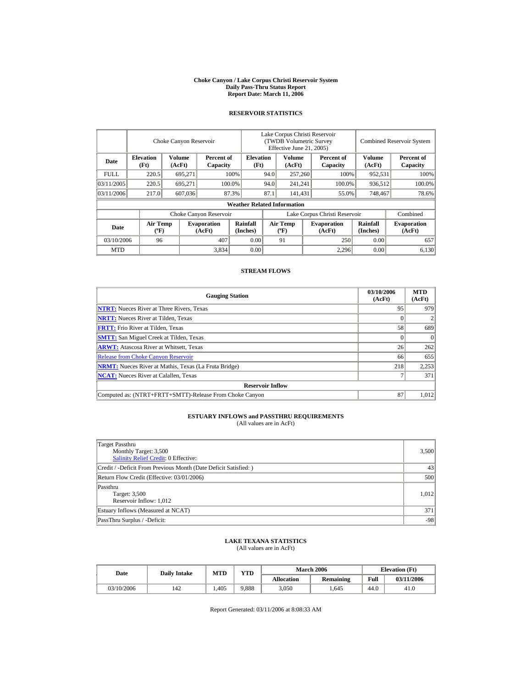#### **Choke Canyon / Lake Corpus Christi Reservoir System Daily Pass-Thru Status Report Report Date: March 11, 2006**

#### **RESERVOIR STATISTICS**

|            | Choke Canyon Reservoir                      |                  |                              |                                    | Lake Corpus Christi Reservoir<br>(TWDB Volumetric Survey<br>Effective June 21, 2005) |                                             |  |                              | <b>Combined Reservoir System</b> |                              |  |
|------------|---------------------------------------------|------------------|------------------------------|------------------------------------|--------------------------------------------------------------------------------------|---------------------------------------------|--|------------------------------|----------------------------------|------------------------------|--|
| Date       | <b>Elevation</b><br>(Ft)                    | Volume<br>(AcFt) | Percent of<br>Capacity       | <b>Elevation</b><br>(Ft)           |                                                                                      | Volume<br>(AcFt)                            |  | Percent of<br>Capacity       | Volume<br>(AcFt)                 | Percent of<br>Capacity       |  |
| FULL.      | 220.5                                       | 695,271          |                              | 100%                               | 94.0                                                                                 | 257,260                                     |  | 100%                         | 952,531                          | 100%                         |  |
| 03/11/2005 | 220.5                                       | 695.271          |                              | 100.0%                             | 94.0                                                                                 | 241,241                                     |  | 100.0%                       | 936,512                          | 100.0%                       |  |
| 03/11/2006 | 217.0                                       | 607,036          |                              | 87.3%                              | 87.1                                                                                 | 141,431                                     |  | 55.0%                        | 748,467                          | 78.6%                        |  |
|            |                                             |                  |                              | <b>Weather Related Information</b> |                                                                                      |                                             |  |                              |                                  |                              |  |
|            |                                             |                  | Choke Canyon Reservoir       |                                    | Lake Corpus Christi Reservoir                                                        |                                             |  |                              |                                  | Combined                     |  |
| Date       | <b>Air Temp</b><br>$({}^{\circ}\mathrm{F})$ |                  | <b>Evaporation</b><br>(AcFt) | Rainfall<br>(Inches)               |                                                                                      | <b>Air Temp</b><br>$({}^{\circ}\mathbf{F})$ |  | <b>Evaporation</b><br>(AcFt) | Rainfall<br>(Inches)             | <b>Evaporation</b><br>(AcFt) |  |
| 03/10/2006 | 96                                          |                  | 407                          | 0.00                               |                                                                                      | 91                                          |  | 250                          | 0.00                             | 657                          |  |
| <b>MTD</b> |                                             |                  | 3,834                        | 0.00                               |                                                                                      |                                             |  | 2,296                        | 0.00                             | 6,130                        |  |

#### **STREAM FLOWS**

| <b>Gauging Station</b>                                       | 03/10/2006<br>(AcFt) | <b>MTD</b><br>(AcFt) |
|--------------------------------------------------------------|----------------------|----------------------|
| <b>NTRT:</b> Nueces River at Three Rivers, Texas             | 95                   | 979                  |
| <b>NRTT:</b> Nueces River at Tilden, Texas                   |                      |                      |
| <b>FRTT:</b> Frio River at Tilden, Texas                     | 58                   | 689                  |
| <b>SMTT:</b> San Miguel Creek at Tilden, Texas               |                      | $\theta$             |
| <b>ARWT:</b> Atascosa River at Whitsett, Texas               | 26                   | 262                  |
| <b>Release from Choke Canyon Reservoir</b>                   | 66                   | 655                  |
| <b>NRMT:</b> Nueces River at Mathis, Texas (La Fruta Bridge) | 218                  | 2,253                |
| <b>NCAT:</b> Nueces River at Calallen, Texas                 |                      | 371                  |
| <b>Reservoir Inflow</b>                                      |                      |                      |
| Computed as: (NTRT+FRTT+SMTT)-Release From Choke Canyon      | 87                   | 1.012                |

# **ESTUARY INFLOWS and PASSTHRU REQUIREMENTS**<br>(All values are in AcFt)

| Target Passthru<br>Monthly Target: 3,500<br><b>Salinity Relief Credit: 0 Effective:</b> | 3,500 |
|-----------------------------------------------------------------------------------------|-------|
| Credit / -Deficit From Previous Month (Date Deficit Satisfied:)                         | 43    |
| Return Flow Credit (Effective: 03/01/2006)                                              | 500   |
| Passthru<br>Target: 3,500<br>Reservoir Inflow: 1,012                                    | 1.012 |
| Estuary Inflows (Measured at NCAT)                                                      | 371   |
| PassThru Surplus / -Deficit:                                                            | $-98$ |

## **LAKE TEXANA STATISTICS**

(All values are in AcFt)

| Date       | <b>Daily Intake</b> |      | <b>VTD</b><br><b>MTD</b> |                   | <b>March 2006</b> | <b>Elevation</b> (Ft) |            |
|------------|---------------------|------|--------------------------|-------------------|-------------------|-----------------------|------------|
|            |                     |      |                          | <b>Allocation</b> | Remaining         | Full                  | 03/11/2006 |
| 03/10/2006 | 142                 | .405 | 9.888                    | 3,050             | .645              | 44.0                  | 41.0       |

Report Generated: 03/11/2006 at 8:08:33 AM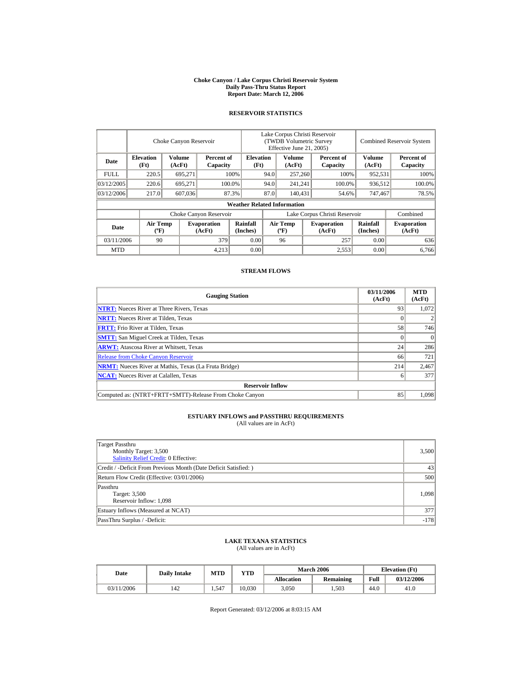#### **Choke Canyon / Lake Corpus Christi Reservoir System Daily Pass-Thru Status Report Report Date: March 12, 2006**

#### **RESERVOIR STATISTICS**

|             | Choke Canyon Reservoir                      |                  |                              |                                    | Lake Corpus Christi Reservoir<br>(TWDB Volumetric Survey<br>Effective June 21, 2005) |                                  |  |                              |                      | <b>Combined Reservoir System</b> |
|-------------|---------------------------------------------|------------------|------------------------------|------------------------------------|--------------------------------------------------------------------------------------|----------------------------------|--|------------------------------|----------------------|----------------------------------|
| Date        | <b>Elevation</b><br>(Ft)                    | Volume<br>(AcFt) | Percent of<br>Capacity       | <b>Elevation</b><br>(Ft)           |                                                                                      | Volume<br>(AcFt)                 |  | Percent of<br>Capacity       | Volume<br>(AcFt)     | Percent of<br>Capacity           |
| <b>FULL</b> | 220.5                                       | 695,271          |                              | 100%                               | 94.0                                                                                 | 257,260                          |  | 100%                         | 952,531              | 100%                             |
| 03/12/2005  | 220.6                                       | 695.271          |                              | 100.0%                             | 94.0                                                                                 | 241,241                          |  | 100.0%                       | 936,512              | 100.0%                           |
| 03/12/2006  | 217.0                                       | 607,036          |                              | 87.3%                              | 87.0                                                                                 | 140.431                          |  | 54.6%                        | 747,467              | 78.5%                            |
|             |                                             |                  |                              | <b>Weather Related Information</b> |                                                                                      |                                  |  |                              |                      |                                  |
|             |                                             |                  | Choke Canyon Reservoir       |                                    | Lake Corpus Christi Reservoir                                                        |                                  |  |                              |                      | Combined                         |
| Date        | <b>Air Temp</b><br>$({}^{\circ}\mathrm{F})$ |                  | <b>Evaporation</b><br>(AcFt) | Rainfall<br>(Inches)               |                                                                                      | <b>Air Temp</b><br>$(^{\circ}F)$ |  | <b>Evaporation</b><br>(AcFt) | Rainfall<br>(Inches) | <b>Evaporation</b><br>(AcFt)     |
| 03/11/2006  | 90                                          |                  | 379                          | 0.00                               |                                                                                      | 96                               |  | 257                          | 0.00                 | 636                              |
| <b>MTD</b>  |                                             |                  | 4.213                        | 0.00                               |                                                                                      |                                  |  | 2,553                        | 0.00                 | 6.766                            |

#### **STREAM FLOWS**

| <b>Gauging Station</b>                                       | 03/11/2006<br>(AcFt) | <b>MTD</b><br>(AcFt) |
|--------------------------------------------------------------|----------------------|----------------------|
| <b>NTRT:</b> Nueces River at Three Rivers, Texas             | 93                   | 1.072                |
| <b>NRTT:</b> Nueces River at Tilden, Texas                   |                      |                      |
| <b>FRTT:</b> Frio River at Tilden, Texas                     | 58                   | 746                  |
| <b>SMTT:</b> San Miguel Creek at Tilden, Texas               |                      | $\Omega$             |
| <b>ARWT:</b> Atascosa River at Whitsett, Texas               | 24                   | 286                  |
| <b>Release from Choke Canyon Reservoir</b>                   | 66                   | 721                  |
| <b>NRMT:</b> Nueces River at Mathis, Texas (La Fruta Bridge) | 214                  | 2,467                |
| <b>NCAT:</b> Nueces River at Calallen. Texas                 | o                    | 377                  |
| <b>Reservoir Inflow</b>                                      |                      |                      |
| Computed as: (NTRT+FRTT+SMTT)-Release From Choke Canyon      | 85                   | 1.098                |

# **ESTUARY INFLOWS and PASSTHRU REQUIREMENTS**<br>(All values are in AcFt)

| Target Passthru<br>Monthly Target: 3,500<br><b>Salinity Relief Credit: 0 Effective:</b> | 3,500  |
|-----------------------------------------------------------------------------------------|--------|
| Credit / -Deficit From Previous Month (Date Deficit Satisfied:)                         | 43     |
| Return Flow Credit (Effective: 03/01/2006)                                              | 500    |
| Passthru<br>Target: 3,500<br>Reservoir Inflow: 1,098                                    | 1.098  |
| Estuary Inflows (Measured at NCAT)                                                      | 377    |
| PassThru Surplus / -Deficit:                                                            | $-178$ |

## **LAKE TEXANA STATISTICS**

(All values are in AcFt)

| Date       | <b>Daily Intake</b> | MTD   | VTD    |                   | <b>March 2006</b> | <b>Elevation</b> (Ft) |            |
|------------|---------------------|-------|--------|-------------------|-------------------|-----------------------|------------|
|            |                     |       |        | <b>Allocation</b> | <b>Remaining</b>  | Full                  | 03/12/2006 |
| 03/11/2006 | 142                 | 1,547 | 10.030 | 3,050             | 1.503             | 44.0                  | 41.0       |

Report Generated: 03/12/2006 at 8:03:15 AM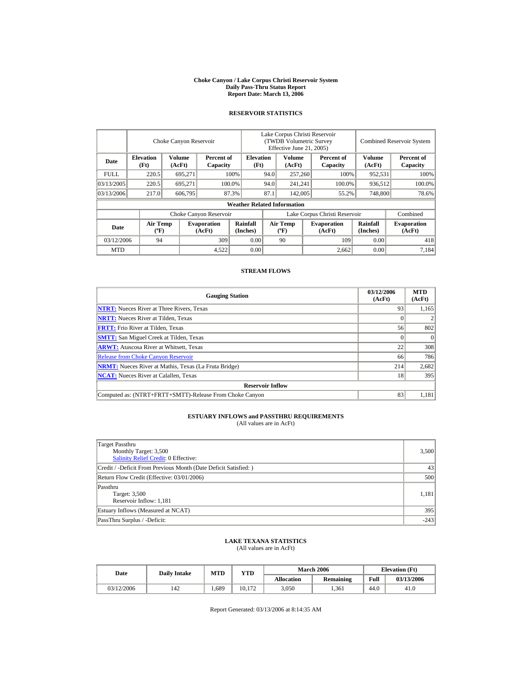#### **Choke Canyon / Lake Corpus Christi Reservoir System Daily Pass-Thru Status Report Report Date: March 13, 2006**

#### **RESERVOIR STATISTICS**

|            | Choke Canyon Reservoir                      |                  |                              |                                    | Lake Corpus Christi Reservoir<br>(TWDB Volumetric Survey<br>Effective June 21, 2005) |                                  |                  |                              |                      | <b>Combined Reservoir System</b> |  |  |
|------------|---------------------------------------------|------------------|------------------------------|------------------------------------|--------------------------------------------------------------------------------------|----------------------------------|------------------|------------------------------|----------------------|----------------------------------|--|--|
| Date       | <b>Elevation</b><br>(Ft)                    | Volume<br>(AcFt) | Percent of<br>Capacity       | <b>Elevation</b><br>(Ft)           |                                                                                      | Volume<br>(AcFt)                 |                  | Percent of<br>Capacity       | Volume<br>(AcFt)     | Percent of<br>Capacity           |  |  |
| FULL.      | 220.5                                       | 695,271          |                              | 100%                               | 94.0                                                                                 | 257,260                          |                  | 100%                         | 952,531              | 100%                             |  |  |
| 03/13/2005 | 220.5                                       | 695.271          |                              | 100.0%                             | 94.0                                                                                 | 241,241                          |                  | 100.0%                       | 936,512              | 100.0%                           |  |  |
| 03/13/2006 | 217.0                                       | 606.795          |                              | 87.3%                              | 87.1                                                                                 |                                  | 142,005<br>55.2% |                              | 748,800              | 78.6%                            |  |  |
|            |                                             |                  |                              | <b>Weather Related Information</b> |                                                                                      |                                  |                  |                              |                      |                                  |  |  |
|            |                                             |                  | Choke Canyon Reservoir       |                                    | Lake Corpus Christi Reservoir                                                        |                                  |                  |                              |                      | Combined                         |  |  |
| Date       | <b>Air Temp</b><br>$({}^{\circ}\mathrm{F})$ |                  | <b>Evaporation</b><br>(AcFt) | Rainfall<br>(Inches)               |                                                                                      | <b>Air Temp</b><br>$(^{\circ}F)$ |                  | <b>Evaporation</b><br>(AcFt) | Rainfall<br>(Inches) | <b>Evaporation</b><br>(AcFt)     |  |  |
| 03/12/2006 | 94                                          |                  | 309                          | 0.00                               |                                                                                      | 90                               |                  | 109                          | 0.00                 | 418                              |  |  |
| <b>MTD</b> |                                             |                  | 4,522                        | 0.00                               |                                                                                      |                                  |                  | 2.662                        | 0.00                 | 7.184                            |  |  |

#### **STREAM FLOWS**

| <b>Gauging Station</b>                                       | 03/12/2006<br>(AcFt) | <b>MTD</b><br>(AcFt) |
|--------------------------------------------------------------|----------------------|----------------------|
| <b>NTRT:</b> Nueces River at Three Rivers, Texas             | 93                   | 1,165                |
| <b>NRTT:</b> Nueces River at Tilden, Texas                   |                      |                      |
| <b>FRTT:</b> Frio River at Tilden, Texas                     | 56                   | 802                  |
| <b>SMTT:</b> San Miguel Creek at Tilden, Texas               |                      | $\Omega$             |
| <b>ARWT:</b> Atascosa River at Whitsett, Texas               | 22                   | 308                  |
| <b>Release from Choke Canyon Reservoir</b>                   | 66                   | 786                  |
| <b>NRMT:</b> Nueces River at Mathis, Texas (La Fruta Bridge) | 214                  | 2,682                |
| <b>NCAT:</b> Nueces River at Calallen. Texas                 | 18                   | 395                  |
| <b>Reservoir Inflow</b>                                      |                      |                      |
| Computed as: (NTRT+FRTT+SMTT)-Release From Choke Canyon      | 83                   | 1.181                |

# **ESTUARY INFLOWS and PASSTHRU REQUIREMENTS**<br>(All values are in AcFt)

| Target Passthru<br>Monthly Target: 3,500<br><b>Salinity Relief Credit: 0 Effective:</b> | 3,500  |
|-----------------------------------------------------------------------------------------|--------|
| Credit / -Deficit From Previous Month (Date Deficit Satisfied:)                         | 43     |
| Return Flow Credit (Effective: 03/01/2006)                                              | 500    |
| Passthru<br>Target: 3,500<br>Reservoir Inflow: 1,181                                    | 1.181  |
| Estuary Inflows (Measured at NCAT)                                                      | 395    |
| PassThru Surplus / -Deficit:                                                            | $-243$ |

## **LAKE TEXANA STATISTICS**

(All values are in AcFt)

| Date       | <b>Daily Intake</b> | MTD  | VTD    |                   | <b>March 2006</b> | <b>Elevation</b> (Ft) |            |
|------------|---------------------|------|--------|-------------------|-------------------|-----------------------|------------|
|            |                     |      |        | <b>Allocation</b> | <b>Remaining</b>  | Full                  | 03/13/2006 |
| 03/12/2006 | 142                 | .689 | 10.172 | 3,050             | . 361             | 44.0                  | 41.0       |

Report Generated: 03/13/2006 at 8:14:35 AM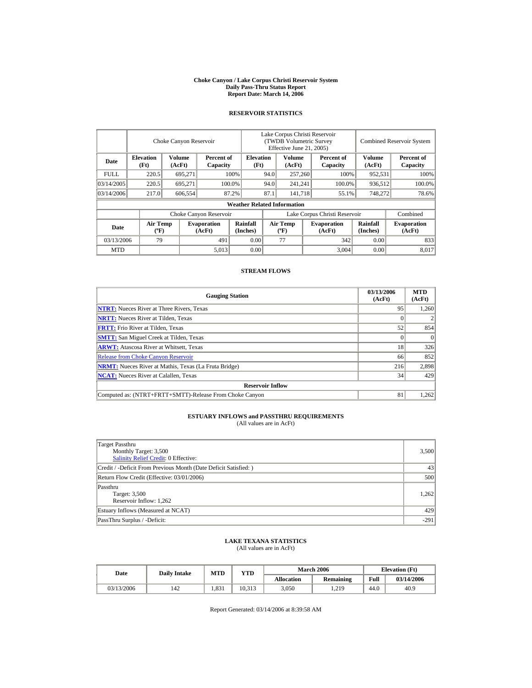#### **Choke Canyon / Lake Corpus Christi Reservoir System Daily Pass-Thru Status Report Report Date: March 14, 2006**

#### **RESERVOIR STATISTICS**

|            | Choke Canyon Reservoir                      |                  |                              |                                    | Lake Corpus Christi Reservoir<br>(TWDB Volumetric Survey<br>Effective June 21, 2005) |                                  |  |                              | <b>Combined Reservoir System</b> |                              |  |
|------------|---------------------------------------------|------------------|------------------------------|------------------------------------|--------------------------------------------------------------------------------------|----------------------------------|--|------------------------------|----------------------------------|------------------------------|--|
| Date       | <b>Elevation</b><br>(Ft)                    | Volume<br>(AcFt) | Percent of<br>Capacity       | <b>Elevation</b><br>(Ft)           |                                                                                      | <b>Volume</b><br>(AcFt)          |  | Percent of<br>Capacity       | Volume<br>(AcFt)                 | Percent of<br>Capacity       |  |
| FULL.      | 220.5                                       | 695,271          |                              | 100%                               | 94.0                                                                                 | 257,260                          |  | 100%                         | 952,531                          | 100%                         |  |
| 03/14/2005 | 220.5                                       | 695.271          |                              | 100.0%                             | 94.0                                                                                 | 241,241                          |  | 100.0%                       | 936,512                          | 100.0%                       |  |
| 03/14/2006 | 217.0                                       | 606,554          |                              | 87.2%                              | 87.1                                                                                 | 141.718                          |  | 55.1%                        | 748,272                          | 78.6%                        |  |
|            |                                             |                  |                              | <b>Weather Related Information</b> |                                                                                      |                                  |  |                              |                                  |                              |  |
|            |                                             |                  | Choke Canyon Reservoir       |                                    | Lake Corpus Christi Reservoir                                                        |                                  |  |                              |                                  | Combined                     |  |
| Date       | <b>Air Temp</b><br>$({}^{\circ}\mathrm{F})$ |                  | <b>Evaporation</b><br>(AcFt) | Rainfall<br>(Inches)               |                                                                                      | <b>Air Temp</b><br>$(^{\circ}F)$ |  | <b>Evaporation</b><br>(AcFt) | Rainfall<br>(Inches)             | <b>Evaporation</b><br>(AcFt) |  |
| 03/13/2006 | 79                                          |                  | 491                          | 0.00                               |                                                                                      | 77                               |  | 342                          | 0.00                             | 833                          |  |
| <b>MTD</b> |                                             |                  | 5,013                        | 0.00                               |                                                                                      |                                  |  | 3,004                        | 0.00                             | 8.017                        |  |

#### **STREAM FLOWS**

| <b>Gauging Station</b>                                       | 03/13/2006<br>(AcFt) | <b>MTD</b><br>(AcFt) |
|--------------------------------------------------------------|----------------------|----------------------|
| <b>NTRT:</b> Nueces River at Three Rivers, Texas             | 95                   | 1,260                |
| <b>NRTT:</b> Nueces River at Tilden, Texas                   |                      |                      |
| <b>FRTT:</b> Frio River at Tilden, Texas                     | 52                   | 854                  |
| <b>SMTT:</b> San Miguel Creek at Tilden, Texas               |                      | $\Omega$             |
| <b>ARWT:</b> Atascosa River at Whitsett, Texas               | 18                   | 326                  |
| <b>Release from Choke Canyon Reservoir</b>                   | 66                   | 852                  |
| <b>NRMT:</b> Nueces River at Mathis, Texas (La Fruta Bridge) | 216                  | 2,898                |
| <b>NCAT:</b> Nueces River at Calallen, Texas                 | 34                   | 429                  |
| <b>Reservoir Inflow</b>                                      |                      |                      |
| Computed as: (NTRT+FRTT+SMTT)-Release From Choke Canyon      | 81                   | 1,262                |

# **ESTUARY INFLOWS and PASSTHRU REQUIREMENTS**<br>(All values are in AcFt)

| Target Passthru<br>Monthly Target: 3,500<br><b>Salinity Relief Credit: 0 Effective:</b> | 3,500  |
|-----------------------------------------------------------------------------------------|--------|
| Credit / -Deficit From Previous Month (Date Deficit Satisfied:)                         | 43     |
| Return Flow Credit (Effective: 03/01/2006)                                              | 500    |
| Passthru<br>Target: 3,500<br>Reservoir Inflow: 1,262                                    | 1,262  |
| Estuary Inflows (Measured at NCAT)                                                      | 429    |
| PassThru Surplus / -Deficit:                                                            | $-291$ |

## **LAKE TEXANA STATISTICS**

(All values are in AcFt)

| Date       | <b>Daily Intake</b> | MTD   | VTD    |                   | <b>March 2006</b> | <b>Elevation</b> (Ft) |            |
|------------|---------------------|-------|--------|-------------------|-------------------|-----------------------|------------|
|            |                     |       |        | <b>Allocation</b> | <b>Remaining</b>  | Full                  | 03/14/2006 |
| 03/13/2006 | 142                 | 1.831 | 10.313 | 3,050             | 1.219             | 44.0                  | 40.9       |

Report Generated: 03/14/2006 at 8:39:58 AM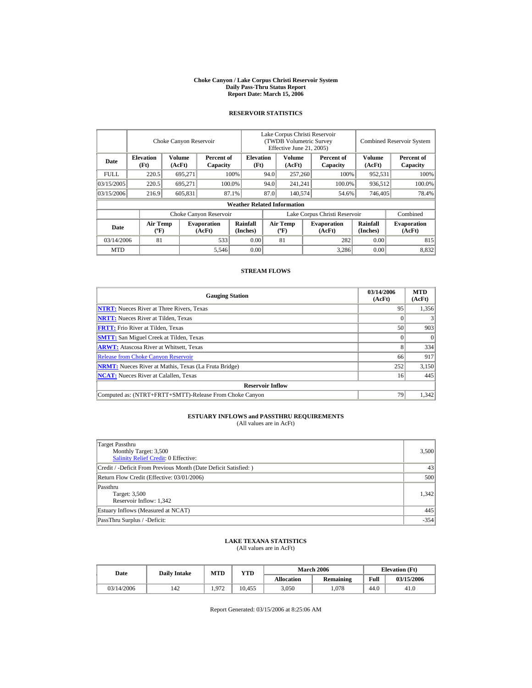#### **Choke Canyon / Lake Corpus Christi Reservoir System Daily Pass-Thru Status Report Report Date: March 15, 2006**

#### **RESERVOIR STATISTICS**

|            | Choke Canyon Reservoir                      |                  |                              |                                    | Lake Corpus Christi Reservoir<br>(TWDB Volumetric Survey<br>Effective June 21, 2005) |                                  |         |                              |                      | <b>Combined Reservoir System</b> |  |
|------------|---------------------------------------------|------------------|------------------------------|------------------------------------|--------------------------------------------------------------------------------------|----------------------------------|---------|------------------------------|----------------------|----------------------------------|--|
| Date       | <b>Elevation</b><br>(Ft)                    | Volume<br>(AcFt) | Percent of<br>Capacity       | <b>Elevation</b><br>(Ft)           |                                                                                      | <b>Volume</b><br>(AcFt)          |         | Percent of<br>Capacity       | Volume<br>(AcFt)     | Percent of<br>Capacity           |  |
| FULL.      | 220.5                                       | 695,271          |                              | 100%                               | 94.0                                                                                 | 257,260                          |         | 100%                         | 952,531              | 100%                             |  |
| 03/15/2005 | 220.5                                       | 695.271          |                              | 100.0%                             | 94.0                                                                                 |                                  | 241,241 | 100.0%                       | 936,512              | 100.0%                           |  |
| 03/15/2006 | 216.9                                       | 605,831          |                              | 87.1%                              | 87.0                                                                                 |                                  | 140,574 | 54.6%                        | 746,405              | 78.4%                            |  |
|            |                                             |                  |                              | <b>Weather Related Information</b> |                                                                                      |                                  |         |                              |                      |                                  |  |
|            |                                             |                  | Choke Canyon Reservoir       |                                    | Lake Corpus Christi Reservoir                                                        |                                  |         |                              |                      | Combined                         |  |
| Date       | <b>Air Temp</b><br>$({}^{\circ}\mathrm{F})$ |                  | <b>Evaporation</b><br>(AcFt) | Rainfall<br>(Inches)               |                                                                                      | <b>Air Temp</b><br>$(^{\circ}F)$ |         | <b>Evaporation</b><br>(AcFt) | Rainfall<br>(Inches) | <b>Evaporation</b><br>(AcFt)     |  |
| 03/14/2006 | 81                                          |                  | 533                          | 0.00                               |                                                                                      | 81                               |         | 282                          | 0.00                 | 815                              |  |
| <b>MTD</b> |                                             |                  | 5,546                        | 0.00                               |                                                                                      |                                  |         | 3,286                        | 0.00                 | 8,832                            |  |

#### **STREAM FLOWS**

| <b>Gauging Station</b>                                       | 03/14/2006<br>(AcFt) | <b>MTD</b><br>(AcFt) |
|--------------------------------------------------------------|----------------------|----------------------|
| <b>NTRT:</b> Nueces River at Three Rivers, Texas             | 95                   | 1.356                |
| <b>NRTT:</b> Nueces River at Tilden, Texas                   |                      |                      |
| <b>FRTT:</b> Frio River at Tilden, Texas                     | 50 <sub>1</sub>      | 903                  |
| <b>SMTT:</b> San Miguel Creek at Tilden, Texas               |                      | $\Omega$             |
| <b>ARWT:</b> Atascosa River at Whitsett, Texas               |                      | 334                  |
| <b>Release from Choke Canyon Reservoir</b>                   | 66                   | 917                  |
| <b>NRMT:</b> Nueces River at Mathis, Texas (La Fruta Bridge) | 252                  | 3,150                |
| <b>NCAT:</b> Nueces River at Calallen. Texas                 | 16                   | 445                  |
| <b>Reservoir Inflow</b>                                      |                      |                      |
| Computed as: (NTRT+FRTT+SMTT)-Release From Choke Canyon      | 79                   | 1.342                |

# **ESTUARY INFLOWS and PASSTHRU REQUIREMENTS**<br>(All values are in AcFt)

| Target Passthru<br>Monthly Target: 3,500<br><b>Salinity Relief Credit: 0 Effective:</b> | 3,500  |
|-----------------------------------------------------------------------------------------|--------|
| Credit / -Deficit From Previous Month (Date Deficit Satisfied:)                         | 43     |
| Return Flow Credit (Effective: 03/01/2006)                                              | 500    |
| Passthru<br>Target: 3,500<br>Reservoir Inflow: 1,342                                    | 1.342  |
| Estuary Inflows (Measured at NCAT)                                                      | 445    |
| PassThru Surplus / -Deficit:                                                            | $-354$ |

## **LAKE TEXANA STATISTICS**

(All values are in AcFt)

| Date       | <b>Daily Intake</b> | MTD   | VTD    |                   | <b>March 2006</b> | <b>Elevation</b> (Ft) |            |
|------------|---------------------|-------|--------|-------------------|-------------------|-----------------------|------------|
|            |                     |       |        | <b>Allocation</b> | <b>Remaining</b>  | Full                  | 03/15/2006 |
| 03/14/2006 | 142                 | 1.972 | 10.455 | 3,050             | .078              | 44.0                  | 41.0       |

Report Generated: 03/15/2006 at 8:25:06 AM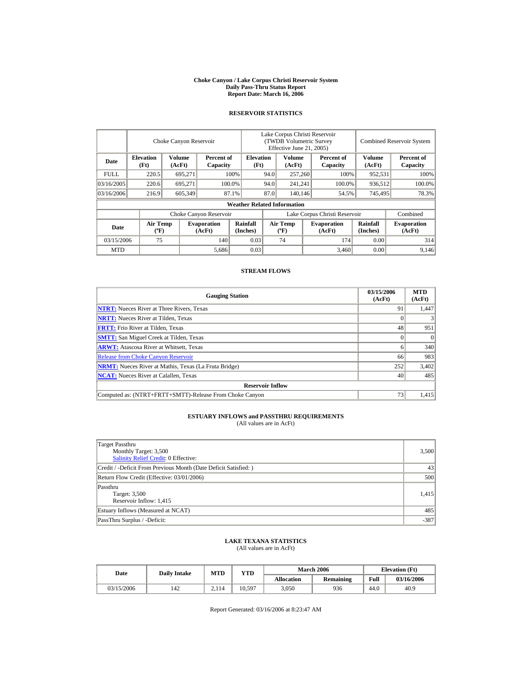#### **Choke Canyon / Lake Corpus Christi Reservoir System Daily Pass-Thru Status Report Report Date: March 16, 2006**

#### **RESERVOIR STATISTICS**

|             | Choke Canyon Reservoir                      |                  |                              |                                    | Lake Corpus Christi Reservoir<br>(TWDB Volumetric Survey<br>Effective June 21, 2005) |                                  |                  |                              | <b>Combined Reservoir System</b> |                              |  |
|-------------|---------------------------------------------|------------------|------------------------------|------------------------------------|--------------------------------------------------------------------------------------|----------------------------------|------------------|------------------------------|----------------------------------|------------------------------|--|
| Date        | <b>Elevation</b><br>(Ft)                    | Volume<br>(AcFt) | Percent of<br>Capacity       | <b>Elevation</b><br>(Ft)           |                                                                                      | Volume<br>(AcFt)                 |                  | Percent of<br>Capacity       | Volume<br>(AcFt)                 | Percent of<br>Capacity       |  |
| <b>FULL</b> | 220.5                                       | 695,271          |                              | 100%                               | 94.0                                                                                 | 257,260                          |                  | 100%<br>952,531              |                                  | 100%                         |  |
| 03/16/2005  | 220.6                                       | 695.271          |                              | 94.0<br>100.0%                     |                                                                                      | 241,241                          |                  | 100.0%                       | 936,512                          | 100.0%                       |  |
| 03/16/2006  | 216.9                                       | 605,349          |                              | 87.1%                              | 87.0                                                                                 |                                  | 140,146<br>54.5% |                              | 745,495                          | 78.3%                        |  |
|             |                                             |                  |                              | <b>Weather Related Information</b> |                                                                                      |                                  |                  |                              |                                  |                              |  |
|             |                                             |                  | Choke Canyon Reservoir       |                                    | Lake Corpus Christi Reservoir                                                        |                                  |                  |                              |                                  | Combined                     |  |
| Date        | <b>Air Temp</b><br>$({}^{\circ}\mathrm{F})$ |                  | <b>Evaporation</b><br>(AcFt) | Rainfall<br>(Inches)               |                                                                                      | <b>Air Temp</b><br>$(^{\circ}F)$ |                  | <b>Evaporation</b><br>(AcFt) | <b>Rainfall</b><br>(Inches)      | <b>Evaporation</b><br>(AcFt) |  |
| 03/15/2006  | 75                                          |                  | 140                          | 0.03                               |                                                                                      | 74                               |                  | 174                          | 0.00                             | 314                          |  |
| <b>MTD</b>  |                                             |                  | 5,686                        | 0.03                               |                                                                                      |                                  |                  | 3,460                        | 0.00                             | 9.146                        |  |

#### **STREAM FLOWS**

| <b>Gauging Station</b>                                       | 03/15/2006<br>(AcFt) | <b>MTD</b><br>(AcFt) |  |  |  |  |
|--------------------------------------------------------------|----------------------|----------------------|--|--|--|--|
| <b>NTRT:</b> Nueces River at Three Rivers, Texas             | 91                   | 1,447                |  |  |  |  |
| <b>NRTT:</b> Nueces River at Tilden, Texas                   |                      |                      |  |  |  |  |
| <b>FRTT:</b> Frio River at Tilden, Texas                     | 48                   | 951                  |  |  |  |  |
| <b>SMTT:</b> San Miguel Creek at Tilden, Texas               |                      | $\Omega$             |  |  |  |  |
| <b>ARWT:</b> Atascosa River at Whitsett, Texas               |                      | 340                  |  |  |  |  |
| <b>Release from Choke Canyon Reservoir</b>                   | 66                   | 983                  |  |  |  |  |
| <b>NRMT:</b> Nueces River at Mathis, Texas (La Fruta Bridge) | 252                  | 3,402                |  |  |  |  |
| <b>NCAT:</b> Nueces River at Calallen. Texas                 | 40                   | 485                  |  |  |  |  |
| <b>Reservoir Inflow</b>                                      |                      |                      |  |  |  |  |
| Computed as: (NTRT+FRTT+SMTT)-Release From Choke Canyon      | 73                   | 1.415                |  |  |  |  |

# **ESTUARY INFLOWS and PASSTHRU REQUIREMENTS**<br>(All values are in AcFt)

| Target Passthru<br>Monthly Target: 3,500<br><b>Salinity Relief Credit: 0 Effective:</b> | 3,500  |
|-----------------------------------------------------------------------------------------|--------|
| Credit / -Deficit From Previous Month (Date Deficit Satisfied:)                         | 43     |
| Return Flow Credit (Effective: 03/01/2006)                                              | 500    |
| Passthru<br>Target: 3,500<br>Reservoir Inflow: 1,415                                    | 1,415  |
| Estuary Inflows (Measured at NCAT)                                                      | 485    |
| PassThru Surplus / -Deficit:                                                            | $-387$ |

## **LAKE TEXANA STATISTICS**

(All values are in AcFt)

| Date       | <b>Daily Intake</b> | MTD   | YTD    |                   | <b>March 2006</b> | <b>Elevation</b> (Ft) |            |
|------------|---------------------|-------|--------|-------------------|-------------------|-----------------------|------------|
|            |                     |       |        | <b>Allocation</b> | <b>Remaining</b>  | Full                  | 03/16/2006 |
| 03/15/2006 | 142                 | 2.114 | 10.597 | 3.050             | 936               | 44.0                  | 40.9       |

Report Generated: 03/16/2006 at 8:23:47 AM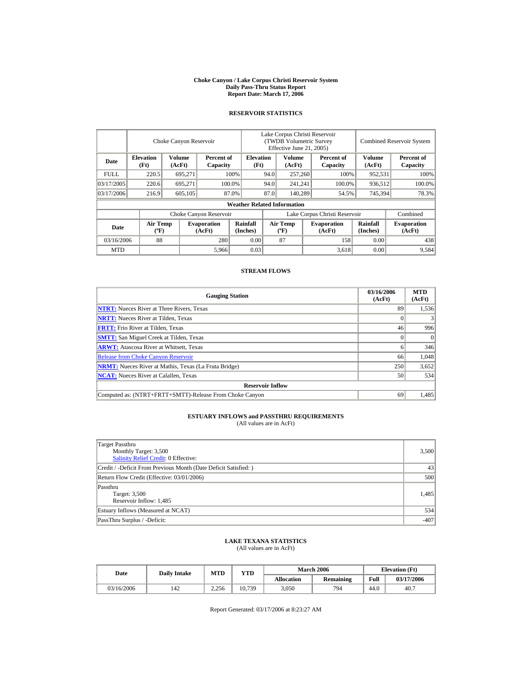#### **Choke Canyon / Lake Corpus Christi Reservoir System Daily Pass-Thru Status Report Report Date: March 17, 2006**

#### **RESERVOIR STATISTICS**

|             | Choke Canyon Reservoir                      |                  |                              |                                    | Lake Corpus Christi Reservoir<br>(TWDB Volumetric Survey<br>Effective June 21, 2005) |                                  |  |                              |                      | <b>Combined Reservoir System</b> |  |  |
|-------------|---------------------------------------------|------------------|------------------------------|------------------------------------|--------------------------------------------------------------------------------------|----------------------------------|--|------------------------------|----------------------|----------------------------------|--|--|
| Date        | <b>Elevation</b><br>(Ft)                    | Volume<br>(AcFt) | Percent of<br>Capacity       | <b>Elevation</b><br>(Ft)           |                                                                                      | Volume<br>(AcFt)                 |  | Percent of<br>Capacity       | Volume<br>(AcFt)     | Percent of<br>Capacity           |  |  |
| <b>FULL</b> | 220.5                                       | 695,271          |                              | 100%                               | 94.0                                                                                 | 257,260                          |  | 100%                         | 952,531              | 100%                             |  |  |
| 03/17/2005  | 220.6                                       | 695.271          |                              | 100.0%                             | 94.0                                                                                 | 241,241                          |  | 100.0%                       | 936,512              | 100.0%                           |  |  |
| 03/17/2006  | 216.9                                       | 605,105          |                              | 87.0%                              | 87.0                                                                                 | 140.289                          |  | 54.5%                        | 745,394              | 78.3%                            |  |  |
|             |                                             |                  |                              | <b>Weather Related Information</b> |                                                                                      |                                  |  |                              |                      |                                  |  |  |
|             |                                             |                  | Choke Canyon Reservoir       |                                    | Lake Corpus Christi Reservoir                                                        |                                  |  |                              |                      | Combined                         |  |  |
| Date        | <b>Air Temp</b><br>$({}^{\circ}\mathrm{F})$ |                  | <b>Evaporation</b><br>(AcFt) | Rainfall<br>(Inches)               |                                                                                      | <b>Air Temp</b><br>$(^{\circ}F)$ |  | <b>Evaporation</b><br>(AcFt) | Rainfall<br>(Inches) | <b>Evaporation</b><br>(AcFt)     |  |  |
| 03/16/2006  | 88                                          |                  | 280                          | 0.00                               |                                                                                      | 87                               |  | 158                          | 0.00                 | 438                              |  |  |
| <b>MTD</b>  |                                             |                  | 5,966                        | 0.03                               |                                                                                      |                                  |  | 3,618                        | 0.00                 | 9,584                            |  |  |

#### **STREAM FLOWS**

| <b>Gauging Station</b>                                       | 03/16/2006<br>(AcFt) | <b>MTD</b><br>(AcFt) |  |  |  |  |
|--------------------------------------------------------------|----------------------|----------------------|--|--|--|--|
| <b>NTRT:</b> Nueces River at Three Rivers, Texas             | 89                   | 1,536                |  |  |  |  |
| <b>NRTT:</b> Nueces River at Tilden, Texas                   |                      |                      |  |  |  |  |
| <b>FRTT:</b> Frio River at Tilden, Texas                     | 46                   | 996                  |  |  |  |  |
| <b>SMTT:</b> San Miguel Creek at Tilden, Texas               |                      | $\Omega$             |  |  |  |  |
| <b>ARWT:</b> Atascosa River at Whitsett, Texas               |                      | 346                  |  |  |  |  |
| <b>Release from Choke Canyon Reservoir</b>                   | 66                   | 1,048                |  |  |  |  |
| <b>NRMT:</b> Nueces River at Mathis, Texas (La Fruta Bridge) | 250                  | 3,652                |  |  |  |  |
| <b>NCAT:</b> Nueces River at Calallen, Texas                 | 50                   | 534                  |  |  |  |  |
| <b>Reservoir Inflow</b>                                      |                      |                      |  |  |  |  |
| Computed as: (NTRT+FRTT+SMTT)-Release From Choke Canyon      | 69                   | 1.485                |  |  |  |  |

# **ESTUARY INFLOWS and PASSTHRU REQUIREMENTS**<br>(All values are in AcFt)

| Target Passthru<br>Monthly Target: 3,500<br><b>Salinity Relief Credit: 0 Effective:</b> | 3,500  |
|-----------------------------------------------------------------------------------------|--------|
| Credit / -Deficit From Previous Month (Date Deficit Satisfied:)                         | 43     |
| Return Flow Credit (Effective: 03/01/2006)                                              | 500    |
| Passthru<br>Target: 3,500<br>Reservoir Inflow: 1,485                                    | 1,485  |
| Estuary Inflows (Measured at NCAT)                                                      | 534    |
| PassThru Surplus / -Deficit:                                                            | $-407$ |

## **LAKE TEXANA STATISTICS**

(All values are in AcFt)

| Date       | <b>Daily Intake</b> | <b>MTD</b> | VTD    |            | <b>March 2006</b> | <b>Elevation</b> (Ft) |            |
|------------|---------------------|------------|--------|------------|-------------------|-----------------------|------------|
|            |                     |            |        | Allocation | <b>Remaining</b>  | Full                  | 03/17/2006 |
| 03/16/2006 | 142                 | 2.256      | 10.739 | 3,050      | 794               | 44.0                  | 40.7       |

Report Generated: 03/17/2006 at 8:23:27 AM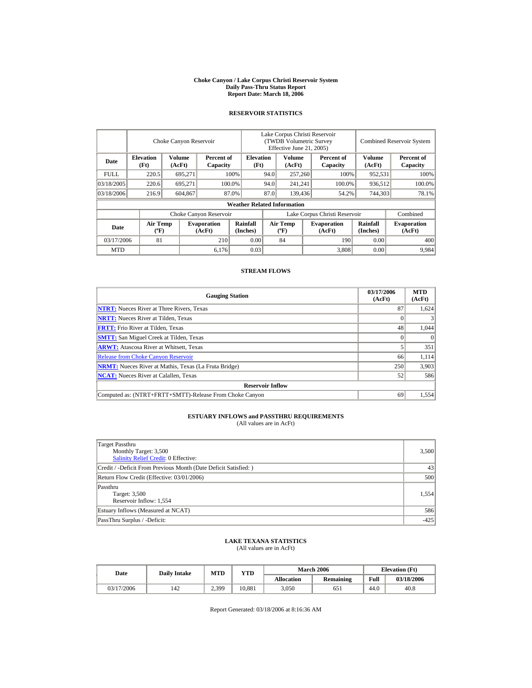#### **Choke Canyon / Lake Corpus Christi Reservoir System Daily Pass-Thru Status Report Report Date: March 18, 2006**

## **RESERVOIR STATISTICS**

|            | Choke Canyon Reservoir                      |                  |                              |                                    | Lake Corpus Christi Reservoir<br>(TWDB Volumetric Survey<br>Effective June 21, 2005) |                                             |         |                              |                      | <b>Combined Reservoir System</b> |  |
|------------|---------------------------------------------|------------------|------------------------------|------------------------------------|--------------------------------------------------------------------------------------|---------------------------------------------|---------|------------------------------|----------------------|----------------------------------|--|
| Date       | <b>Elevation</b><br>(Ft)                    | Volume<br>(AcFt) | Percent of<br>Capacity       | <b>Elevation</b><br>(Ft)           |                                                                                      | Volume<br>(AcFt)                            |         | Percent of<br>Capacity       | Volume<br>(AcFt)     | Percent of<br>Capacity           |  |
| FULL.      | 220.5                                       | 695,271          |                              | 100%                               | 94.0                                                                                 | 257,260                                     |         | 100%                         | 952,531              | 100%                             |  |
| 03/18/2005 | 220.6                                       | 695.271          |                              | 94.0<br>100.0%                     |                                                                                      | 241,241                                     |         | 100.0%                       | 936,512              | 100.0%                           |  |
| 03/18/2006 | 216.9                                       | 604,867          |                              | 87.0%                              | 87.0                                                                                 |                                             | 139,436 | 54.2%                        | 744,303              | 78.1%                            |  |
|            |                                             |                  |                              | <b>Weather Related Information</b> |                                                                                      |                                             |         |                              |                      |                                  |  |
|            |                                             |                  | Choke Canyon Reservoir       |                                    | Lake Corpus Christi Reservoir                                                        |                                             |         |                              |                      | Combined                         |  |
| Date       | <b>Air Temp</b><br>$({}^{\circ}\mathrm{F})$ |                  | <b>Evaporation</b><br>(AcFt) | Rainfall<br>(Inches)               |                                                                                      | <b>Air Temp</b><br>$({}^{\circ}\mathbf{F})$ |         | <b>Evaporation</b><br>(AcFt) | Rainfall<br>(Inches) | <b>Evaporation</b><br>(AcFt)     |  |
| 03/17/2006 | 81                                          |                  | 210                          | 0.00                               |                                                                                      | 84                                          |         | 190                          | 0.00                 | 400                              |  |
| <b>MTD</b> |                                             |                  | 6,176                        | 0.03                               |                                                                                      |                                             |         | 3.808                        | 0.00                 | 9.984                            |  |

#### **STREAM FLOWS**

| <b>Gauging Station</b>                                       | 03/17/2006<br>(AcFt) | <b>MTD</b><br>(AcFt) |  |  |  |  |  |
|--------------------------------------------------------------|----------------------|----------------------|--|--|--|--|--|
| <b>NTRT:</b> Nueces River at Three Rivers, Texas             | 87                   | 1.624                |  |  |  |  |  |
| <b>NRTT:</b> Nueces River at Tilden, Texas                   |                      |                      |  |  |  |  |  |
| <b>FRTT:</b> Frio River at Tilden, Texas                     | 48                   | 1,044                |  |  |  |  |  |
| <b>SMTT:</b> San Miguel Creek at Tilden, Texas               |                      | $\Omega$             |  |  |  |  |  |
| <b>ARWT:</b> Atascosa River at Whitsett, Texas               |                      | 351                  |  |  |  |  |  |
| <b>Release from Choke Canyon Reservoir</b>                   | 66                   | 1.114                |  |  |  |  |  |
| <b>NRMT:</b> Nueces River at Mathis, Texas (La Fruta Bridge) | 250                  | 3,903                |  |  |  |  |  |
| <b>NCAT:</b> Nueces River at Calallen. Texas                 | 52                   | 586                  |  |  |  |  |  |
| <b>Reservoir Inflow</b>                                      |                      |                      |  |  |  |  |  |
| Computed as: (NTRT+FRTT+SMTT)-Release From Choke Canyon      | 69                   | 1.554                |  |  |  |  |  |

# **ESTUARY INFLOWS and PASSTHRU REQUIREMENTS**<br>(All values are in AcFt)

| Target Passthru<br>Monthly Target: 3,500<br><b>Salinity Relief Credit: 0 Effective:</b> | 3,500  |
|-----------------------------------------------------------------------------------------|--------|
| Credit / -Deficit From Previous Month (Date Deficit Satisfied:)                         | 43     |
| Return Flow Credit (Effective: 03/01/2006)                                              | 500    |
| Passthru<br>Target: 3,500<br>Reservoir Inflow: 1,554                                    | 1.554  |
| Estuary Inflows (Measured at NCAT)                                                      | 586    |
| PassThru Surplus / -Deficit:                                                            | $-425$ |

## **LAKE TEXANA STATISTICS**

(All values are in AcFt)

| Date       | <b>Daily Intake</b> | MTD   | VTD    |                   | <b>March 2006</b> | <b>Elevation</b> (Ft) |            |
|------------|---------------------|-------|--------|-------------------|-------------------|-----------------------|------------|
|            |                     |       |        | <b>Allocation</b> | <b>Remaining</b>  | Full                  | 03/18/2006 |
| 03/17/2006 | 142                 | 2,399 | 10.881 | 3,050             | 651               | 44.0                  | 40.8       |

Report Generated: 03/18/2006 at 8:16:36 AM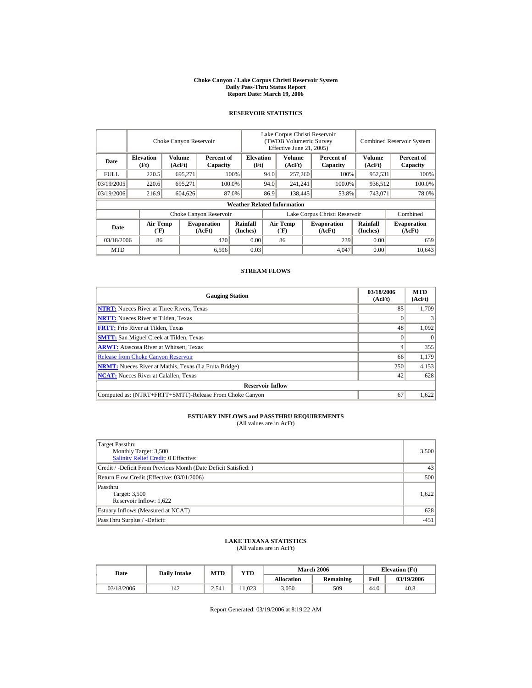#### **Choke Canyon / Lake Corpus Christi Reservoir System Daily Pass-Thru Status Report Report Date: March 19, 2006**

#### **RESERVOIR STATISTICS**

|             |                                             | Choke Canyon Reservoir |                              | Lake Corpus Christi Reservoir<br>(TWDB Volumetric Survey<br>Effective June 21, 2005) |                               |                                             |  |                              | <b>Combined Reservoir System</b> |                              |
|-------------|---------------------------------------------|------------------------|------------------------------|--------------------------------------------------------------------------------------|-------------------------------|---------------------------------------------|--|------------------------------|----------------------------------|------------------------------|
| Date        | <b>Elevation</b><br>(Ft)                    | Volume<br>(AcFt)       | Percent of<br>Capacity       | <b>Elevation</b><br>(Ft)                                                             |                               | Volume<br>(AcFt)                            |  | Percent of<br>Capacity       | Volume<br>(AcFt)                 | Percent of<br>Capacity       |
| <b>FULL</b> | 220.5                                       | 695,271                |                              | 100%                                                                                 | 94.0                          | 257,260                                     |  | 100%                         | 952,531                          | 100%                         |
| 03/19/2005  | 220.6                                       | 695.271                |                              | 100.0%                                                                               | 94.0                          | 241,241                                     |  | 100.0%                       | 936,512                          | 100.0%                       |
| 03/19/2006  | 216.9                                       | 604.626                |                              | 87.0%                                                                                | 86.9                          | 138,445                                     |  | 53.8%                        | 743,071                          | 78.0%                        |
|             |                                             |                        |                              | <b>Weather Related Information</b>                                                   |                               |                                             |  |                              |                                  |                              |
|             |                                             |                        | Choke Canyon Reservoir       |                                                                                      | Lake Corpus Christi Reservoir |                                             |  |                              | Combined                         |                              |
| Date        | <b>Air Temp</b><br>$({}^{\circ}\mathrm{F})$ |                        | <b>Evaporation</b><br>(AcFt) | Rainfall<br>(Inches)                                                                 |                               | <b>Air Temp</b><br>$({}^{\circ}\mathbf{F})$ |  | <b>Evaporation</b><br>(AcFt) | Rainfall<br>(Inches)             | <b>Evaporation</b><br>(AcFt) |
| 03/18/2006  | 86                                          |                        | 420                          | 0.00                                                                                 |                               | 86                                          |  | 239                          | 0.00                             | 659                          |
| <b>MTD</b>  |                                             |                        | 6,596                        | 0.03                                                                                 |                               |                                             |  | 4,047                        | 0.00                             | 10.643                       |

#### **STREAM FLOWS**

| <b>Gauging Station</b>                                       | 03/18/2006<br>(AcFt) | <b>MTD</b><br>(AcFt) |
|--------------------------------------------------------------|----------------------|----------------------|
| <b>NTRT:</b> Nueces River at Three Rivers, Texas             | 85                   | 1.709                |
| <b>NRTT:</b> Nueces River at Tilden, Texas                   |                      |                      |
| <b>FRTT:</b> Frio River at Tilden, Texas                     | 48                   | 1,092                |
| <b>SMTT:</b> San Miguel Creek at Tilden, Texas               |                      | $\Omega$             |
| <b>ARWT:</b> Atascosa River at Whitsett, Texas               |                      | 355                  |
| <b>Release from Choke Canyon Reservoir</b>                   | 66                   | 1,179                |
| <b>NRMT:</b> Nueces River at Mathis, Texas (La Fruta Bridge) | 250                  | 4,153                |
| <b>NCAT:</b> Nueces River at Calallen. Texas                 | 42                   | 628                  |
| <b>Reservoir Inflow</b>                                      |                      |                      |
| Computed as: (NTRT+FRTT+SMTT)-Release From Choke Canyon      | 67                   | 1.622                |

# **ESTUARY INFLOWS and PASSTHRU REQUIREMENTS**<br>(All values are in AcFt)

| Target Passthru<br>Monthly Target: 3,500<br><b>Salinity Relief Credit: 0 Effective:</b> | 3,500  |
|-----------------------------------------------------------------------------------------|--------|
| Credit / -Deficit From Previous Month (Date Deficit Satisfied:)                         | 43     |
| Return Flow Credit (Effective: 03/01/2006)                                              | 500    |
| Passthru<br>Target: 3,500<br>Reservoir Inflow: 1,622                                    | 1.622  |
| Estuary Inflows (Measured at NCAT)                                                      | 628    |
| PassThru Surplus / -Deficit:                                                            | $-451$ |

## **LAKE TEXANA STATISTICS**

(All values are in AcFt)

| Date       | <b>Daily Intake</b> | MTD   | VTD  |                   | <b>March 2006</b> | <b>Elevation</b> (Ft) |            |
|------------|---------------------|-------|------|-------------------|-------------------|-----------------------|------------|
|            |                     |       |      | <b>Allocation</b> | <b>Remaining</b>  | Full                  | 03/19/2006 |
| 03/18/2006 | 142                 | 2.541 | .023 | 3,050             | 509               | 44.0                  | 40.8       |

Report Generated: 03/19/2006 at 8:19:22 AM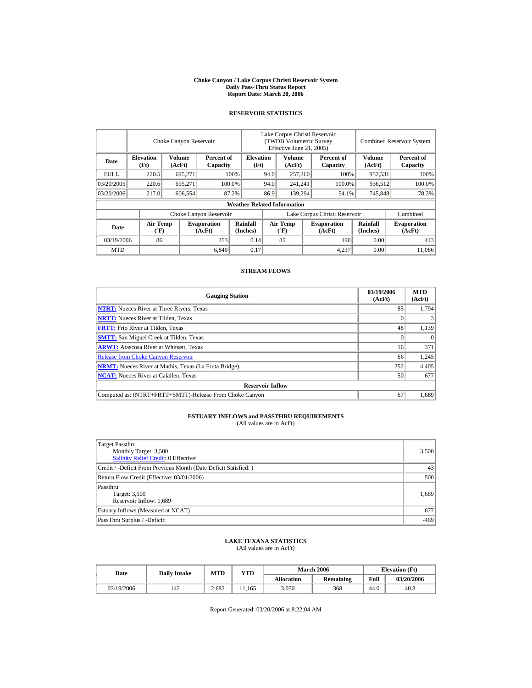#### **Choke Canyon / Lake Corpus Christi Reservoir System Daily Pass-Thru Status Report Report Date: March 20, 2006**

#### **RESERVOIR STATISTICS**

|            |                             | Choke Canyon Reservoir |                              |                                    | Lake Corpus Christi Reservoir<br>(TWDB Volumetric Survey<br>Effective June 21, 2005) |                                      |  |                              |                      | <b>Combined Reservoir System</b> |
|------------|-----------------------------|------------------------|------------------------------|------------------------------------|--------------------------------------------------------------------------------------|--------------------------------------|--|------------------------------|----------------------|----------------------------------|
| Date       | <b>Elevation</b><br>(Ft)    | Volume<br>(AcFt)       | Percent of<br>Capacity       | <b>Elevation</b><br>(Ft)           |                                                                                      | Volume<br>(AcFt)                     |  | Percent of<br>Capacity       | Volume<br>(AcFt)     | Percent of<br>Capacity           |
| FULL.      | 220.5                       | 695,271                |                              | 100%                               | 94.0                                                                                 | 257,260                              |  | 100%                         | 952,531              | 100%                             |
| 03/20/2005 | 220.6                       | 695,271                |                              | 100.0%                             | 94.0                                                                                 | 241,241                              |  | 100.0%                       | 936,512              | 100.0%                           |
| 03/20/2006 | 217.0                       | 606,554                |                              | 87.2%                              | 86.9                                                                                 | 139.294                              |  | 54.1%                        | 745,848              | 78.3%                            |
|            |                             |                        |                              | <b>Weather Related Information</b> |                                                                                      |                                      |  |                              |                      |                                  |
|            |                             |                        | Choke Canyon Reservoir       |                                    | Lake Corpus Christi Reservoir                                                        |                                      |  |                              |                      | Combined                         |
| Date       | Air Temp<br>$({}^{\circ}F)$ |                        | <b>Evaporation</b><br>(AcFt) | Rainfall<br>(Inches)               |                                                                                      | Air Temp<br>$({}^{\circ}\mathrm{F})$ |  | <b>Evaporation</b><br>(AcFt) | Rainfall<br>(Inches) | <b>Evaporation</b><br>(AcFt)     |
| 03/19/2006 | 86                          |                        | 253                          | 0.14                               |                                                                                      | 85                                   |  | 190                          | 0.00                 | 443                              |
| <b>MTD</b> |                             |                        | 6,849                        | 0.17                               |                                                                                      |                                      |  | 4.237                        | 0.00                 | 11.086                           |

#### **STREAM FLOWS**

| <b>Gauging Station</b>                                       | 03/19/2006<br>(AcFt) | <b>MTD</b><br>(AcFt) |
|--------------------------------------------------------------|----------------------|----------------------|
| <b>NTRT:</b> Nueces River at Three Rivers, Texas             | 85                   | 1.794                |
| <b>NRTT:</b> Nueces River at Tilden, Texas                   |                      |                      |
| <b>FRTT:</b> Frio River at Tilden, Texas                     | 48                   | 1,139                |
| <b>SMTT:</b> San Miguel Creek at Tilden, Texas               |                      | $\Omega$             |
| <b>ARWT:</b> Atascosa River at Whitsett, Texas               | 16                   | 371                  |
| <b>Release from Choke Canyon Reservoir</b>                   | 66                   | 1.245                |
| <b>NRMT:</b> Nueces River at Mathis, Texas (La Fruta Bridge) | 252                  | 4,405                |
| <b>NCAT:</b> Nueces River at Calallen. Texas                 | 50                   | 677                  |
| <b>Reservoir Inflow</b>                                      |                      |                      |
| Computed as: (NTRT+FRTT+SMTT)-Release From Choke Canyon      | 67                   | 1.689                |

# **ESTUARY INFLOWS and PASSTHRU REQUIREMENTS**<br>(All values are in AcFt)

| Target Passthru<br>Monthly Target: 3,500<br><b>Salinity Relief Credit: 0 Effective:</b> | 3,500  |
|-----------------------------------------------------------------------------------------|--------|
| Credit / -Deficit From Previous Month (Date Deficit Satisfied:)                         | 43     |
| Return Flow Credit (Effective: 03/01/2006)                                              | 500    |
| Passthru<br>Target: 3,500<br>Reservoir Inflow: 1,689                                    | 1,689  |
| Estuary Inflows (Measured at NCAT)                                                      | 677    |
| PassThru Surplus / -Deficit:                                                            | $-469$ |

## **LAKE TEXANA STATISTICS**

(All values are in AcFt)

| Date       | <b>Daily Intake</b> | <b>MTD</b> | VTD   |            | <b>March 2006</b> | <b>Elevation</b> (Ft) |            |
|------------|---------------------|------------|-------|------------|-------------------|-----------------------|------------|
|            |                     |            |       | Allocation | <b>Remaining</b>  | Full                  | 03/20/2006 |
| 03/19/2006 | 142                 | 2.682      | 1.165 | 3,050      | 368               | 44.0                  | 40.8       |

Report Generated: 03/20/2006 at 8:22:04 AM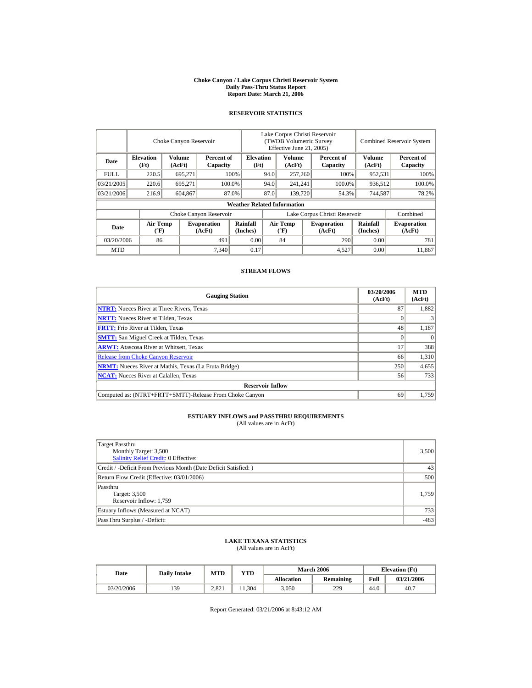#### **Choke Canyon / Lake Corpus Christi Reservoir System Daily Pass-Thru Status Report Report Date: March 21, 2006**

#### **RESERVOIR STATISTICS**

|            |                                             | Choke Canyon Reservoir |                              |                                    |                               | Lake Corpus Christi Reservoir<br>(TWDB Volumetric Survey<br>Effective June 21, 2005) |  |                              |                      | <b>Combined Reservoir System</b> |  |  |
|------------|---------------------------------------------|------------------------|------------------------------|------------------------------------|-------------------------------|--------------------------------------------------------------------------------------|--|------------------------------|----------------------|----------------------------------|--|--|
| Date       | <b>Elevation</b><br>(Ft)                    | Volume<br>(AcFt)       | Percent of<br>Capacity       | <b>Elevation</b><br>(Ft)           |                               | Volume<br>(AcFt)                                                                     |  | Percent of<br>Capacity       | Volume<br>(AcFt)     | Percent of<br>Capacity           |  |  |
| FULL.      | 220.5                                       | 695,271                |                              | 100%                               | 94.0                          | 257,260                                                                              |  | 100%                         | 952,531              | 100%                             |  |  |
| 03/21/2005 | 220.6                                       | 695.271                |                              | 100.0%                             | 94.0                          | 241,241                                                                              |  | 100.0%                       | 936,512              | 100.0%                           |  |  |
| 03/21/2006 | 216.9                                       | 604,867                |                              | 87.0%                              | 87.0                          | 139,720                                                                              |  | 54.3%                        | 744,587              | 78.2%                            |  |  |
|            |                                             |                        |                              | <b>Weather Related Information</b> |                               |                                                                                      |  |                              |                      |                                  |  |  |
|            |                                             |                        | Choke Canyon Reservoir       |                                    | Lake Corpus Christi Reservoir |                                                                                      |  |                              |                      | Combined                         |  |  |
| Date       | <b>Air Temp</b><br>$({}^{\circ}\mathrm{F})$ |                        | <b>Evaporation</b><br>(AcFt) | Rainfall<br>(Inches)               |                               | <b>Air Temp</b><br>$({}^{\circ}\mathbf{F})$                                          |  | <b>Evaporation</b><br>(AcFt) | Rainfall<br>(Inches) | <b>Evaporation</b><br>(AcFt)     |  |  |
| 03/20/2006 | 86                                          |                        | 491                          | 0.00                               |                               | 84                                                                                   |  | 290                          | 0.00                 | 781                              |  |  |
| <b>MTD</b> |                                             |                        | 7,340                        | 0.17                               |                               |                                                                                      |  | 4,527                        | 0.00                 | 11.867                           |  |  |

#### **STREAM FLOWS**

| <b>Gauging Station</b>                                       | 03/20/2006<br>(AcFt) | <b>MTD</b><br>(AcFt) |
|--------------------------------------------------------------|----------------------|----------------------|
| <b>NTRT:</b> Nueces River at Three Rivers, Texas             | 87                   | 1.882                |
| <b>NRTT:</b> Nueces River at Tilden, Texas                   |                      |                      |
| <b>FRTT:</b> Frio River at Tilden, Texas                     | 48                   | 1,187                |
| <b>SMTT:</b> San Miguel Creek at Tilden, Texas               |                      | $\Omega$             |
| <b>ARWT:</b> Atascosa River at Whitsett, Texas               | 17                   | 388                  |
| <b>Release from Choke Canyon Reservoir</b>                   | 66                   | 1.310                |
| <b>NRMT:</b> Nueces River at Mathis, Texas (La Fruta Bridge) | 250                  | 4,655                |
| <b>NCAT:</b> Nueces River at Calallen. Texas                 | 56                   | 733                  |
| <b>Reservoir Inflow</b>                                      |                      |                      |
| Computed as: (NTRT+FRTT+SMTT)-Release From Choke Canyon      | 69                   | 1.759                |

# **ESTUARY INFLOWS and PASSTHRU REQUIREMENTS**<br>(All values are in AcFt)

| Target Passthru<br>Monthly Target: 3,500<br><b>Salinity Relief Credit: 0 Effective:</b> | 3,500  |
|-----------------------------------------------------------------------------------------|--------|
| Credit / -Deficit From Previous Month (Date Deficit Satisfied:)                         | 43     |
| Return Flow Credit (Effective: 03/01/2006)                                              | 500    |
| Passthru<br>Target: 3,500<br>Reservoir Inflow: 1,759                                    | 1.759  |
| Estuary Inflows (Measured at NCAT)                                                      | 733    |
| PassThru Surplus / -Deficit:                                                            | $-483$ |

## **LAKE TEXANA STATISTICS**

(All values are in AcFt)

| Date       | <b>Daily Intake</b> | MTD   | VTD   |                   | <b>March 2006</b> | <b>Elevation</b> (Ft) |            |
|------------|---------------------|-------|-------|-------------------|-------------------|-----------------------|------------|
|            |                     |       |       | <b>Allocation</b> | <b>Remaining</b>  | Full                  | 03/21/2006 |
| 03/20/2006 | 139                 | 2.821 | 1.304 | 3,050             | 229               | 44.0                  | 40.7       |

Report Generated: 03/21/2006 at 8:43:12 AM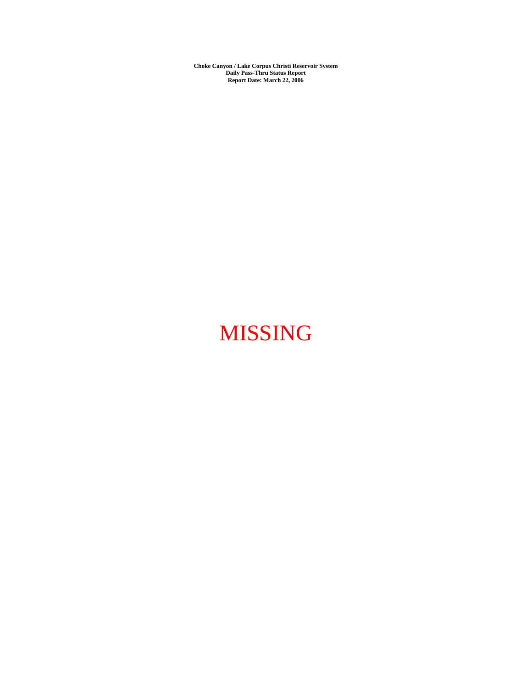**Choke Canyon / Lake Corpus Christi Reservoir System Daily Pass-Thru Status Report Report Date: March 22, 2006** 

# MISSING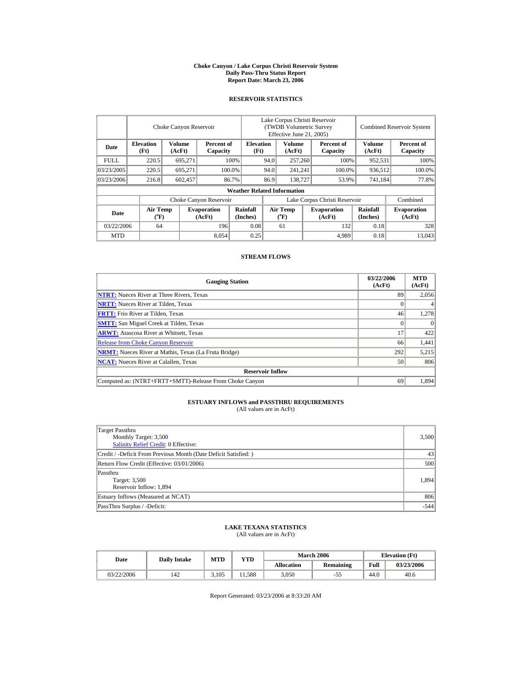#### **Choke Canyon / Lake Corpus Christi Reservoir System Daily Pass-Thru Status Report Report Date: March 23, 2006**

#### **RESERVOIR STATISTICS**

|             | Choke Canyon Reservoir                |                         |                              |                                    | Lake Corpus Christi Reservoir<br>(TWDB Volumetric Survey<br>Effective June 21, 2005) |                                |         |                              | <b>Combined Reservoir System</b> |                              |  |
|-------------|---------------------------------------|-------------------------|------------------------------|------------------------------------|--------------------------------------------------------------------------------------|--------------------------------|---------|------------------------------|----------------------------------|------------------------------|--|
| Date        | <b>Elevation</b><br>(Ft)              | <b>Volume</b><br>(AcFt) | Percent of<br>Capacity       | <b>Elevation</b><br>(Ft)           |                                                                                      | Volume<br>(AcFt)               |         | Percent of<br>Capacity       | Volume<br>(AcFt)                 | Percent of<br>Capacity       |  |
| <b>FULL</b> | 220.5                                 | 695.271                 |                              | 100%                               | 94.0                                                                                 | 257,260                        |         | 100%                         | 952,531                          | 100%                         |  |
| 03/23/2005  | 220.5                                 | 695,271                 |                              | 100.0%                             | 94.0                                                                                 |                                | 241,241 | 100.0%                       | 936,512                          | 100.0%                       |  |
| 03/23/2006  | 216.8                                 | 602,457                 |                              | 86.7%                              | 86.9                                                                                 | 138,727                        |         | 53.9%                        | 741,184                          | 77.8%                        |  |
|             |                                       |                         |                              | <b>Weather Related Information</b> |                                                                                      |                                |         |                              |                                  |                              |  |
|             |                                       |                         | Choke Canyon Reservoir       |                                    | Lake Corpus Christi Reservoir                                                        |                                |         |                              |                                  | Combined                     |  |
| Date        | <b>Air Temp</b><br>$({}^o\mathbf{F})$ |                         | <b>Evaporation</b><br>(AcFt) | Rainfall<br>(Inches)               |                                                                                      | <b>Air Temp</b><br>$({}^o\!F)$ |         | <b>Evaporation</b><br>(AcFt) | Rainfall<br>(Inches)             | <b>Evaporation</b><br>(AcFt) |  |
| 03/22/2006  | 64                                    |                         | 196                          | 0.08                               |                                                                                      | 61                             |         | 132                          | 0.18                             | 328                          |  |
| <b>MTD</b>  |                                       |                         | 8,054                        | 0.25                               |                                                                                      |                                |         | 4,989                        | 0.18                             | 13,043                       |  |

#### **STREAM FLOWS**

| <b>Gauging Station</b>                                       | 03/22/2006<br>(AcFt) | <b>MTD</b><br>(AcFt) |
|--------------------------------------------------------------|----------------------|----------------------|
| <b>NTRT:</b> Nueces River at Three Rivers, Texas             | 89                   | 2,056                |
| <b>NRTT:</b> Nueces River at Tilden, Texas                   |                      |                      |
| <b>FRTT:</b> Frio River at Tilden, Texas                     | 46                   | 1,278                |
| <b>SMTT:</b> San Miguel Creek at Tilden, Texas               |                      | $\Omega$             |
| <b>ARWT:</b> Atascosa River at Whitsett, Texas               | 17                   | 422                  |
| <b>Release from Choke Canyon Reservoir</b>                   | 66                   | 1,441                |
| <b>NRMT:</b> Nueces River at Mathis, Texas (La Fruta Bridge) | 292                  | 5,215                |
| <b>NCAT:</b> Nueces River at Calallen, Texas                 | 50                   | 806                  |
| <b>Reservoir Inflow</b>                                      |                      |                      |
| Computed as: (NTRT+FRTT+SMTT)-Release From Choke Canyon      | 69                   | 1.894                |

## **ESTUARY INFLOWS and PASSTHRU REQUIREMENTS**<br>(All values are in AcFt)

| Target Passthru                                                 |        |
|-----------------------------------------------------------------|--------|
| Monthly Target: 3,500                                           | 3,500  |
| Salinity Relief Credit: 0 Effective:                            |        |
| Credit / -Deficit From Previous Month (Date Deficit Satisfied:) | 43     |
| Return Flow Credit (Effective: 03/01/2006)                      | 500    |
| Passthru                                                        |        |
| Target: 3,500                                                   | 1,894  |
| Reservoir Inflow: 1,894                                         |        |
| Estuary Inflows (Measured at NCAT)                              | 806    |
| PassThru Surplus / -Deficit:                                    | $-544$ |

# **LAKE TEXANA STATISTICS** (All values are in AcFt)

| Date       | <b>Daily Intake</b> | MTD   | <b>YTD</b> |            | <b>March 2006</b> | <b>Elevation</b> (Ft) |            |
|------------|---------------------|-------|------------|------------|-------------------|-----------------------|------------|
|            |                     |       |            | Allocation | Remaining         | Full                  | 03/23/2006 |
| 03/22/2006 | 142                 | 3.105 | 1.588      | 3.050      | -55               | 44.0                  | 40.6       |

Report Generated: 03/23/2006 at 8:33:20 AM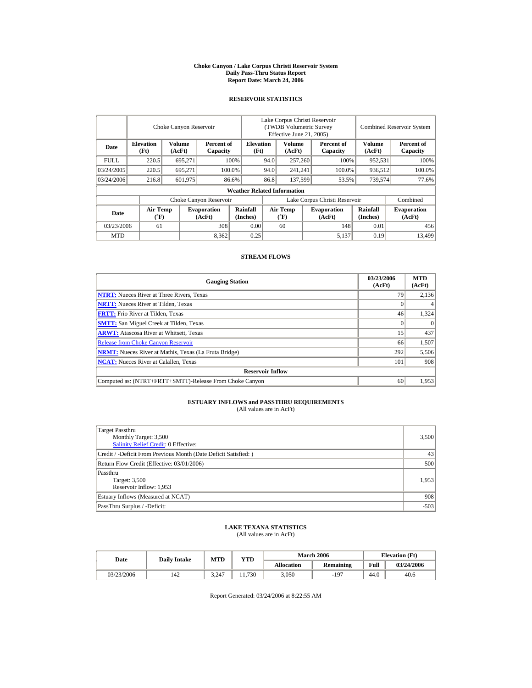#### **Choke Canyon / Lake Corpus Christi Reservoir System Daily Pass-Thru Status Report Report Date: March 24, 2006**

#### **RESERVOIR STATISTICS**

|             | Choke Canyon Reservoir                |                  |                              |                                    | Lake Corpus Christi Reservoir<br>(TWDB Volumetric Survey<br>Effective June 21, 2005) |                                             |  |                              |                      | <b>Combined Reservoir System</b> |  |
|-------------|---------------------------------------|------------------|------------------------------|------------------------------------|--------------------------------------------------------------------------------------|---------------------------------------------|--|------------------------------|----------------------|----------------------------------|--|
| Date        | <b>Elevation</b><br>(Ft)              | Volume<br>(AcFt) | Percent of<br>Capacity       | <b>Elevation</b><br>(Ft)           |                                                                                      | Volume<br>(AcFt)                            |  | Percent of<br>Capacity       | Volume<br>(AcFt)     | Percent of<br>Capacity           |  |
| <b>FULL</b> | 220.5                                 | 695.271          |                              | 100%                               | 94.0                                                                                 | 257,260                                     |  | 100%                         | 952,531              | 100%                             |  |
| 03/24/2005  | 220.5                                 | 695.271          |                              | 100.0%                             | 94.0                                                                                 | 241.241                                     |  | 100.0%                       | 936.512              | 100.0%                           |  |
| 03/24/2006  | 216.8                                 | 601,975          |                              | 86.6%                              | 86.8                                                                                 | 137,599                                     |  | 53.5%                        | 739,574              | 77.6%                            |  |
|             |                                       |                  |                              | <b>Weather Related Information</b> |                                                                                      |                                             |  |                              |                      |                                  |  |
|             |                                       |                  | Choke Canyon Reservoir       |                                    | Lake Corpus Christi Reservoir                                                        |                                             |  |                              |                      | Combined                         |  |
| Date        | <b>Air Temp</b><br>$({}^o\mathbf{F})$ |                  | <b>Evaporation</b><br>(AcFt) | Rainfall<br>(Inches)               |                                                                                      | <b>Air Temp</b><br>$({}^{\circ}\mathrm{F})$ |  | <b>Evaporation</b><br>(AcFt) | Rainfall<br>(Inches) | <b>Evaporation</b><br>(AcFt)     |  |
| 03/23/2006  | 61                                    |                  | 308                          | 0.00                               |                                                                                      | 60                                          |  | 148                          | 0.01                 | 456                              |  |
| <b>MTD</b>  |                                       |                  | 8,362                        | 0.25                               |                                                                                      |                                             |  | 5,137                        | 0.19                 | 13,499                           |  |

#### **STREAM FLOWS**

| <b>Gauging Station</b>                                       | 03/23/2006<br>(AcFt) | <b>MTD</b><br>(AcFt) |
|--------------------------------------------------------------|----------------------|----------------------|
| <b>NTRT:</b> Nueces River at Three Rivers, Texas             | 79                   | 2,136                |
| <b>NRTT:</b> Nueces River at Tilden, Texas                   |                      |                      |
| <b>FRTT:</b> Frio River at Tilden, Texas                     | 46                   | 1,324                |
| <b>SMTT:</b> San Miguel Creek at Tilden, Texas               |                      | $\Omega$             |
| <b>ARWT:</b> Atascosa River at Whitsett, Texas               | 15 <sup>7</sup>      | 437                  |
| <b>Release from Choke Canyon Reservoir</b>                   | 66                   | 1,507                |
| <b>NRMT:</b> Nueces River at Mathis, Texas (La Fruta Bridge) | 292                  | 5,506                |
| <b>NCAT:</b> Nueces River at Calallen, Texas                 | 101                  | 908                  |
| <b>Reservoir Inflow</b>                                      |                      |                      |
| Computed as: (NTRT+FRTT+SMTT)-Release From Choke Canyon      | 60                   | 1,953                |

## **ESTUARY INFLOWS and PASSTHRU REQUIREMENTS**<br>(All values are in AcFt)

| Target Passthru                                                 |        |
|-----------------------------------------------------------------|--------|
| Monthly Target: 3,500                                           | 3,500  |
| Salinity Relief Credit: 0 Effective:                            |        |
| Credit / -Deficit From Previous Month (Date Deficit Satisfied:) | 43     |
| Return Flow Credit (Effective: 03/01/2006)                      | 500    |
| Passthru                                                        |        |
| Target: 3,500                                                   | 1,953  |
| Reservoir Inflow: 1,953                                         |        |
| Estuary Inflows (Measured at NCAT)                              | 908    |
| PassThru Surplus / -Deficit:                                    | $-503$ |

# **LAKE TEXANA STATISTICS** (All values are in AcFt)

| Date       | <b>Dailv Intake</b> | MTD   | YTD   |            | <b>March 2006</b> | <b>Elevation</b> (Ft) |            |
|------------|---------------------|-------|-------|------------|-------------------|-----------------------|------------|
|            |                     |       |       | Allocation | Remaining         | Full                  | 03/24/2006 |
| 03/23/2006 | 142                 | 3.247 | 1,730 | 3,050      | $-197$            | 44.0                  | 40.6       |

Report Generated: 03/24/2006 at 8:22:55 AM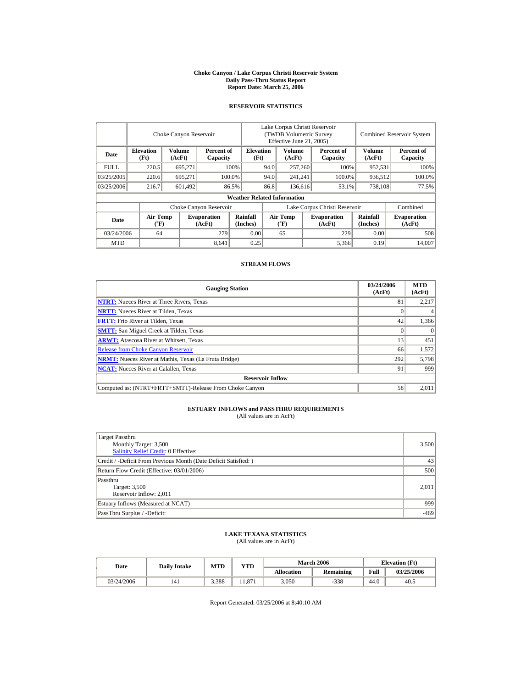#### **Choke Canyon / Lake Corpus Christi Reservoir System Daily Pass-Thru Status Report Report Date: March 25, 2006**

## **RESERVOIR STATISTICS**

i.

|             |                             | Choke Canyon Reservoir |                              |                                    | Lake Corpus Christi Reservoir<br>(TWDB Volumetric Survey)<br>Effective June 21, 2005) |                                    |                         |                              | <b>Combined Reservoir System</b> |                              |
|-------------|-----------------------------|------------------------|------------------------------|------------------------------------|---------------------------------------------------------------------------------------|------------------------------------|-------------------------|------------------------------|----------------------------------|------------------------------|
| Date        | <b>Elevation</b><br>(Ft)    | Volume<br>(AcFt)       | Percent of<br>Capacity       | <b>Elevation</b><br>(Ft)           | Volume<br>Percent of<br>(AcFt)<br>Capacity                                            |                                    | <b>Volume</b><br>(AcFt) | Percent of<br>Capacity       |                                  |                              |
| <b>FULL</b> | 220.5                       | 695.271                |                              | 100%                               | 257,260<br>94.0                                                                       |                                    |                         | 100%                         | 952,531                          | 100%                         |
| 03/25/2005  | 220.6                       | 695.271                |                              | 100.0%                             | 94.0                                                                                  | 241.241                            |                         | 100.0%                       | 936.512                          | 100.0%                       |
| 03/25/2006  | 216.7                       | 601,492                |                              | 86.5%                              | 86.8                                                                                  | 136,616                            |                         | 53.1%                        | 738,108                          | 77.5%                        |
|             |                             |                        |                              | <b>Weather Related Information</b> |                                                                                       |                                    |                         |                              |                                  |                              |
|             |                             |                        | Choke Canyon Reservoir       |                                    | Lake Corpus Christi Reservoir                                                         |                                    |                         |                              |                                  | Combined                     |
| Date        | Air Temp<br>$({}^{\circ}F)$ |                        | <b>Evaporation</b><br>(AcFt) | Rainfall<br>(Inches)               |                                                                                       | Air Temp<br>$({}^{\circ}\text{F})$ |                         | <b>Evaporation</b><br>(AcFt) | Rainfall<br>(Inches)             | <b>Evaporation</b><br>(AcFt) |
| 03/24/2006  | 64                          |                        | 279                          | 0.00                               |                                                                                       | 65                                 |                         | 229                          | 0.00                             | 508                          |
| <b>MTD</b>  |                             |                        | 8,641                        | 0.25                               |                                                                                       |                                    |                         | 5,366                        | 0.19                             | 14.007                       |

## **STREAM FLOWS**

| <b>Gauging Station</b>                                       | 03/24/2006<br>(AcFt) | <b>MTD</b><br>(AcFt) |
|--------------------------------------------------------------|----------------------|----------------------|
| <b>NTRT:</b> Nueces River at Three Rivers, Texas             | 81                   | 2,217                |
| <b>NRTT:</b> Nueces River at Tilden, Texas                   |                      |                      |
| <b>FRTT:</b> Frio River at Tilden, Texas                     | 42                   | 1,366                |
| <b>SMTT:</b> San Miguel Creek at Tilden, Texas               |                      |                      |
| <b>ARWT:</b> Atascosa River at Whitsett, Texas               | 13                   | 451                  |
| <b>Release from Choke Canyon Reservoir</b>                   | 66                   | 1,572                |
| <b>NRMT:</b> Nueces River at Mathis, Texas (La Fruta Bridge) | 292                  | 5,798                |
| <b>NCAT:</b> Nueces River at Calallen, Texas                 | 91                   | 999                  |
| <b>Reservoir Inflow</b>                                      |                      |                      |
| Computed as: (NTRT+FRTT+SMTT)-Release From Choke Canyon      | 58                   | 2,011                |

# **ESTUARY INFLOWS and PASSTHRU REQUIREMENTS**<br>(All values are in AcFt)

| Target Passthru<br>Monthly Target: 3,500<br><b>Salinity Relief Credit: 0 Effective:</b> | 3,500  |
|-----------------------------------------------------------------------------------------|--------|
| Credit / -Deficit From Previous Month (Date Deficit Satisfied:)                         | 43     |
| Return Flow Credit (Effective: 03/01/2006)                                              | 500    |
| Passthru<br>Target: 3,500<br>Reservoir Inflow: 2,011                                    | 2,011  |
| Estuary Inflows (Measured at NCAT)                                                      | 999    |
| PassThru Surplus / -Deficit:                                                            | $-469$ |

## **LAKE TEXANA STATISTICS** (All values are in AcFt)

| Date       | <b>Daily Intake</b> | MTD   | <b>VTD</b> |            | <b>March 2006</b> | <b>Elevation</b> (Ft) |            |
|------------|---------------------|-------|------------|------------|-------------------|-----------------------|------------|
|            |                     |       |            | Allocation | <b>Remaining</b>  | Full                  | 03/25/2006 |
| 03/24/2006 | 141                 | 3.388 | 11.871     | 3,050      | $-338$            | 44.0                  | 40.5       |

Report Generated: 03/25/2006 at 8:40:10 AM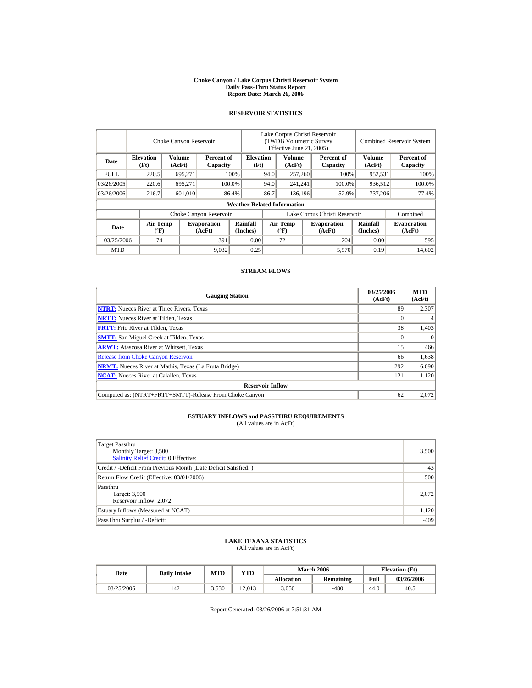#### **Choke Canyon / Lake Corpus Christi Reservoir System Daily Pass-Thru Status Report Report Date: March 26, 2006**

#### **RESERVOIR STATISTICS**

|             |                                             | Choke Canyon Reservoir |                              |                                    |                               | Lake Corpus Christi Reservoir<br>(TWDB Volumetric Survey<br>Effective June 21, 2005) |         |                              |                             | <b>Combined Reservoir System</b> |  |  |
|-------------|---------------------------------------------|------------------------|------------------------------|------------------------------------|-------------------------------|--------------------------------------------------------------------------------------|---------|------------------------------|-----------------------------|----------------------------------|--|--|
| Date        | <b>Elevation</b><br>(Ft)                    | Volume<br>(AcFt)       | Percent of<br>Capacity       | <b>Elevation</b><br>(Ft)           |                               | Volume<br>(AcFt)                                                                     |         | Percent of<br>Capacity       | Volume<br>(AcFt)            | Percent of<br>Capacity           |  |  |
| <b>FULL</b> | 220.5                                       | 695,271                |                              | 100%                               | 94.0                          | 257,260                                                                              |         | 100%                         | 952,531                     | 100%                             |  |  |
| 03/26/2005  | 220.6                                       | 695,271                |                              | 100.0%                             | 94.0                          | 241,241                                                                              |         | 100.0%                       | 936,512                     | 100.0%                           |  |  |
| 03/26/2006  | 216.7                                       | 601,010                |                              | 86.4%                              | 86.7                          |                                                                                      | 136.196 | 52.9%                        | 737,206                     | 77.4%                            |  |  |
|             |                                             |                        |                              | <b>Weather Related Information</b> |                               |                                                                                      |         |                              |                             |                                  |  |  |
|             |                                             |                        | Choke Canyon Reservoir       |                                    | Lake Corpus Christi Reservoir |                                                                                      |         |                              |                             | Combined                         |  |  |
| Date        | <b>Air Temp</b><br>$({}^{\circ}\mathrm{F})$ |                        | <b>Evaporation</b><br>(AcFt) | Rainfall<br>(Inches)               |                               | <b>Air Temp</b><br>$({}^{\circ}\mathbf{F})$                                          |         | <b>Evaporation</b><br>(AcFt) | <b>Rainfall</b><br>(Inches) | <b>Evaporation</b><br>(AcFt)     |  |  |
| 03/25/2006  | 74                                          |                        | 391                          | 0.00                               |                               | 72                                                                                   |         | 204                          | 0.00                        | 595                              |  |  |
| <b>MTD</b>  |                                             |                        | 9,032                        | 0.25                               |                               |                                                                                      |         | 5,570                        | 0.19                        | 14.602                           |  |  |

#### **STREAM FLOWS**

| <b>Gauging Station</b>                                       | 03/25/2006<br>(AcFt) | <b>MTD</b><br>(AcFt) |
|--------------------------------------------------------------|----------------------|----------------------|
| <b>NTRT:</b> Nueces River at Three Rivers, Texas             | 89                   | 2,307                |
| <b>NRTT:</b> Nueces River at Tilden, Texas                   |                      |                      |
| <b>FRTT:</b> Frio River at Tilden, Texas                     | 38                   | 1,403                |
| <b>SMTT:</b> San Miguel Creek at Tilden, Texas               |                      | $\Omega$             |
| <b>ARWT:</b> Atascosa River at Whitsett, Texas               | 15                   | 466                  |
| <b>Release from Choke Canyon Reservoir</b>                   | 66                   | 1,638                |
| <b>NRMT:</b> Nueces River at Mathis, Texas (La Fruta Bridge) | 292                  | 6,090                |
| <b>NCAT:</b> Nueces River at Calallen, Texas                 | 121                  | 1,120                |
| <b>Reservoir Inflow</b>                                      |                      |                      |
| Computed as: (NTRT+FRTT+SMTT)-Release From Choke Canyon      | 62                   | 2.072                |

# **ESTUARY INFLOWS and PASSTHRU REQUIREMENTS**<br>(All values are in AcFt)

| Target Passthru<br>Monthly Target: 3,500<br><b>Salinity Relief Credit: 0 Effective:</b> | 3,500  |
|-----------------------------------------------------------------------------------------|--------|
| Credit / -Deficit From Previous Month (Date Deficit Satisfied:)                         | 43     |
| Return Flow Credit (Effective: 03/01/2006)                                              | 500    |
| Passthru<br>Target: 3,500<br>Reservoir Inflow: 2,072                                    | 2.072  |
| Estuary Inflows (Measured at NCAT)                                                      | 1,120  |
| PassThru Surplus / -Deficit:                                                            | $-409$ |

## **LAKE TEXANA STATISTICS**

(All values are in AcFt)

| Date       | <b>Daily Intake</b> | MTD   | VTD    |                   | <b>March 2006</b> | <b>Elevation</b> (Ft) |            |
|------------|---------------------|-------|--------|-------------------|-------------------|-----------------------|------------|
|            |                     |       |        | <b>Allocation</b> | <b>Remaining</b>  | Full                  | 03/26/2006 |
| 03/25/2006 | 142                 | 3,530 | 12.013 | 3,050             | $-480$            | 44.0                  | 40.5       |

Report Generated: 03/26/2006 at 7:51:31 AM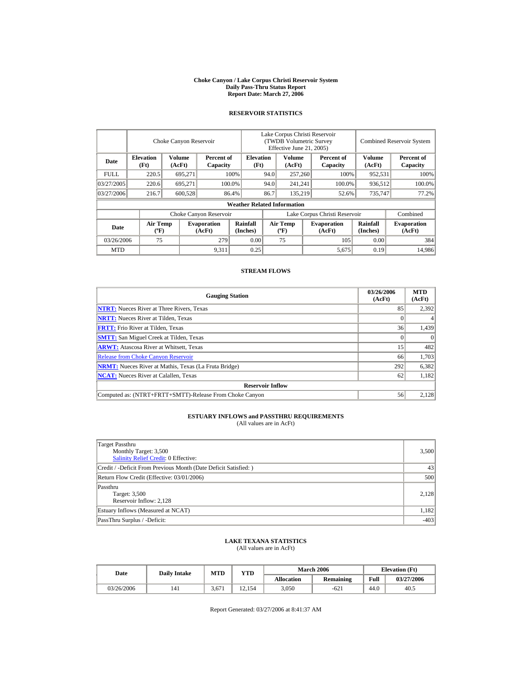#### **Choke Canyon / Lake Corpus Christi Reservoir System Daily Pass-Thru Status Report Report Date: March 27, 2006**

#### **RESERVOIR STATISTICS**

|             |                                             | Choke Canyon Reservoir |                              |                                    | Lake Corpus Christi Reservoir<br>(TWDB Volumetric Survey<br>Effective June 21, 2005) |                                             |  |                              |                             | <b>Combined Reservoir System</b> |
|-------------|---------------------------------------------|------------------------|------------------------------|------------------------------------|--------------------------------------------------------------------------------------|---------------------------------------------|--|------------------------------|-----------------------------|----------------------------------|
| Date        | <b>Elevation</b><br>(Ft)                    | Volume<br>(AcFt)       | Percent of<br>Capacity       | <b>Elevation</b><br>(Ft)           |                                                                                      | Volume<br>(AcFt)                            |  | Percent of<br>Capacity       | Volume<br>(AcFt)            | Percent of<br>Capacity           |
| <b>FULL</b> | 220.5                                       | 695,271                |                              | 100%                               | 94.0                                                                                 | 257,260                                     |  | 100%                         | 952,531                     | 100%                             |
| 03/27/2005  | 220.6                                       | 695,271                |                              | 100.0%                             | 94.0                                                                                 | 241,241                                     |  | 100.0%                       | 936,512                     | 100.0%                           |
| 03/27/2006  | 216.7                                       | 600,528                |                              | 86.4%                              | 86.7                                                                                 | 135.219                                     |  | 52.6%                        | 735,747                     | 77.2%                            |
|             |                                             |                        |                              | <b>Weather Related Information</b> |                                                                                      |                                             |  |                              |                             |                                  |
|             |                                             |                        | Choke Canyon Reservoir       |                                    | Lake Corpus Christi Reservoir                                                        |                                             |  |                              |                             | Combined                         |
| Date        | <b>Air Temp</b><br>$({}^{\circ}\mathrm{F})$ |                        | <b>Evaporation</b><br>(AcFt) | Rainfall<br>(Inches)               |                                                                                      | <b>Air Temp</b><br>$({}^{\circ}\mathbf{F})$ |  | <b>Evaporation</b><br>(AcFt) | <b>Rainfall</b><br>(Inches) | <b>Evaporation</b><br>(AcFt)     |
| 03/26/2006  | 75                                          |                        | 279                          | 0.00                               |                                                                                      | 75                                          |  | 105                          | 0.00                        | 384                              |
| <b>MTD</b>  |                                             |                        | 9,311                        | 0.25                               |                                                                                      |                                             |  | 5,675                        | 0.19                        | 14.986                           |

#### **STREAM FLOWS**

| <b>Gauging Station</b>                                       | 03/26/2006<br>(AcFt) | <b>MTD</b><br>(AcFt) |  |  |  |  |  |
|--------------------------------------------------------------|----------------------|----------------------|--|--|--|--|--|
| <b>NTRT:</b> Nueces River at Three Rivers, Texas             | 85                   | 2.392                |  |  |  |  |  |
| <b>NRTT:</b> Nueces River at Tilden, Texas                   |                      |                      |  |  |  |  |  |
| <b>FRTT:</b> Frio River at Tilden, Texas                     | 36                   | 1,439                |  |  |  |  |  |
| <b>SMTT:</b> San Miguel Creek at Tilden, Texas               |                      | $\theta$             |  |  |  |  |  |
| <b>ARWT:</b> Atascosa River at Whitsett, Texas               | 15                   | 482                  |  |  |  |  |  |
| <b>Release from Choke Canyon Reservoir</b>                   | 66                   | 1,703                |  |  |  |  |  |
| <b>NRMT:</b> Nueces River at Mathis, Texas (La Fruta Bridge) | 292                  | 6,382                |  |  |  |  |  |
| <b>NCAT:</b> Nueces River at Calallen. Texas                 | 62                   | 1,182                |  |  |  |  |  |
| <b>Reservoir Inflow</b>                                      |                      |                      |  |  |  |  |  |
| Computed as: (NTRT+FRTT+SMTT)-Release From Choke Canyon      | 56                   | 2.128                |  |  |  |  |  |

# **ESTUARY INFLOWS and PASSTHRU REQUIREMENTS**<br>(All values are in AcFt)

| Target Passthru<br>Monthly Target: 3,500<br><b>Salinity Relief Credit: 0 Effective:</b> | 3,500  |
|-----------------------------------------------------------------------------------------|--------|
| Credit / -Deficit From Previous Month (Date Deficit Satisfied:)                         | 43     |
| Return Flow Credit (Effective: 03/01/2006)                                              | 500    |
| Passthru<br>Target: 3,500<br>Reservoir Inflow: 2,128                                    | 2,128  |
| Estuary Inflows (Measured at NCAT)                                                      | 1,182  |
| PassThru Surplus / -Deficit:                                                            | $-403$ |

## **LAKE TEXANA STATISTICS**

(All values are in AcFt)

| Date       | <b>Daily Intake</b> | MTD   | VTD    |                   | <b>March 2006</b> | <b>Elevation</b> (Ft) |            |
|------------|---------------------|-------|--------|-------------------|-------------------|-----------------------|------------|
|            |                     |       |        | <b>Allocation</b> | <b>Remaining</b>  | Full                  | 03/27/2006 |
| 03/26/2006 | 141                 | 3.671 | .2,154 | 3,050             | $-621$            | 44.0                  | 40.5       |

Report Generated: 03/27/2006 at 8:41:37 AM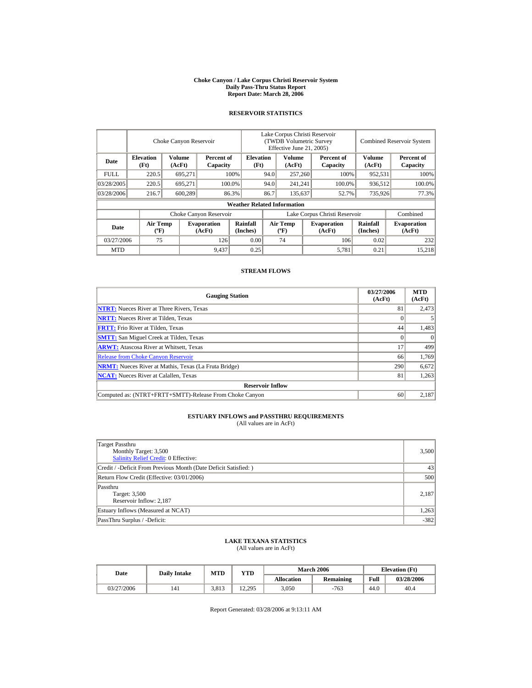#### **Choke Canyon / Lake Corpus Christi Reservoir System Daily Pass-Thru Status Report Report Date: March 28, 2006**

#### **RESERVOIR STATISTICS**

|             |                                             | Choke Canyon Reservoir |                              |                                    | Lake Corpus Christi Reservoir<br>(TWDB Volumetric Survey<br>Effective June 21, 2005) |                                             |         |                              | <b>Combined Reservoir System</b> |                              |
|-------------|---------------------------------------------|------------------------|------------------------------|------------------------------------|--------------------------------------------------------------------------------------|---------------------------------------------|---------|------------------------------|----------------------------------|------------------------------|
| Date        | <b>Elevation</b><br>(Ft)                    | Volume<br>(AcFt)       | Percent of<br>Capacity       | <b>Elevation</b><br>(Ft)           |                                                                                      | Volume<br>(AcFt)                            |         | Percent of<br>Capacity       | Volume<br>(AcFt)                 | Percent of<br>Capacity       |
| <b>FULL</b> | 220.5                                       | 695,271                |                              | 100%                               | 94.0                                                                                 | 257,260                                     |         | 100%                         | 952,531                          | 100%                         |
| 03/28/2005  | 220.5                                       | 695.271                |                              | 100.0%                             | 94.0                                                                                 | 241,241                                     |         | 100.0%                       | 936,512                          | 100.0%                       |
| 03/28/2006  | 216.7                                       | 600,289                |                              | 86.3%                              | 86.7                                                                                 |                                             | 135,637 | 52.7%                        | 735,926                          | 77.3%                        |
|             |                                             |                        |                              | <b>Weather Related Information</b> |                                                                                      |                                             |         |                              |                                  |                              |
|             |                                             |                        | Choke Canyon Reservoir       |                                    | Lake Corpus Christi Reservoir                                                        |                                             |         |                              |                                  | Combined                     |
| Date        | <b>Air Temp</b><br>$({}^{\circ}\mathrm{F})$ |                        | <b>Evaporation</b><br>(AcFt) | Rainfall<br>(Inches)               |                                                                                      | <b>Air Temp</b><br>$({}^{\circ}\mathbf{F})$ |         | <b>Evaporation</b><br>(AcFt) | <b>Rainfall</b><br>(Inches)      | <b>Evaporation</b><br>(AcFt) |
| 03/27/2006  | 75                                          |                        | 126                          | 0.00                               |                                                                                      | 74                                          |         | 106                          | 0.02                             | 232                          |
| <b>MTD</b>  |                                             |                        | 9,437                        | 0.25                               |                                                                                      |                                             |         | 5,781                        | 0.21                             | 15.218                       |

#### **STREAM FLOWS**

| <b>Gauging Station</b>                                       | 03/27/2006<br>(AcFt) | <b>MTD</b><br>(AcFt) |
|--------------------------------------------------------------|----------------------|----------------------|
| <b>NTRT:</b> Nueces River at Three Rivers, Texas             | 81                   | 2,473                |
| <b>NRTT:</b> Nueces River at Tilden, Texas                   |                      |                      |
| <b>FRTT:</b> Frio River at Tilden, Texas                     | 44                   | 1,483                |
| <b>SMTT:</b> San Miguel Creek at Tilden, Texas               |                      | $\theta$             |
| <b>ARWT:</b> Atascosa River at Whitsett, Texas               | 17                   | 499                  |
| <b>Release from Choke Canyon Reservoir</b>                   | 66                   | 1,769                |
| <b>NRMT:</b> Nueces River at Mathis, Texas (La Fruta Bridge) | 290                  | 6,672                |
| <b>NCAT:</b> Nueces River at Calallen, Texas                 | 81                   | 1,263                |
| <b>Reservoir Inflow</b>                                      |                      |                      |
| Computed as: (NTRT+FRTT+SMTT)-Release From Choke Canyon      | 60                   | 2,187                |

# **ESTUARY INFLOWS and PASSTHRU REQUIREMENTS**<br>(All values are in AcFt)

| Target Passthru<br>Monthly Target: 3,500<br><b>Salinity Relief Credit: 0 Effective:</b> | 3,500  |
|-----------------------------------------------------------------------------------------|--------|
| Credit / -Deficit From Previous Month (Date Deficit Satisfied:)                         | 43     |
| Return Flow Credit (Effective: 03/01/2006)                                              | 500    |
| Passthru<br>Target: 3,500<br>Reservoir Inflow: 2,187                                    | 2.187  |
| Estuary Inflows (Measured at NCAT)                                                      | 1,263  |
| PassThru Surplus / -Deficit:                                                            | $-382$ |

## **LAKE TEXANA STATISTICS**

(All values are in AcFt)

| Date       | <b>Daily Intake</b> | MTD   | YTD    |                   | <b>March 2006</b> | <b>Elevation</b> (Ft) |            |
|------------|---------------------|-------|--------|-------------------|-------------------|-----------------------|------------|
|            |                     |       |        | <b>Allocation</b> | Remaining         | Full                  | 03/28/2006 |
| 03/27/2006 | 141                 | 3.813 | 12.295 | 3,050             | $-763$            | 44.0                  | 40.4       |

Report Generated: 03/28/2006 at 9:13:11 AM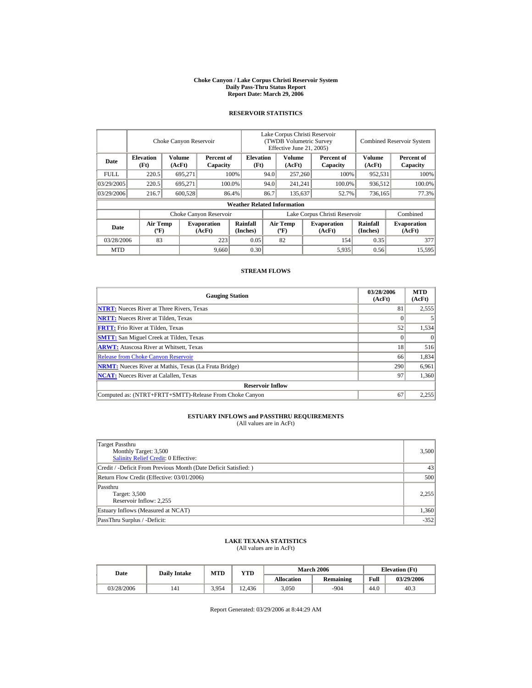#### **Choke Canyon / Lake Corpus Christi Reservoir System Daily Pass-Thru Status Report Report Date: March 29, 2006**

#### **RESERVOIR STATISTICS**

|             | Choke Canyon Reservoir                      |                  |                              |                                    | Lake Corpus Christi Reservoir<br>(TWDB Volumetric Survey<br>Effective June 21, 2005) |                                             |         |                              | <b>Combined Reservoir System</b> |                              |  |
|-------------|---------------------------------------------|------------------|------------------------------|------------------------------------|--------------------------------------------------------------------------------------|---------------------------------------------|---------|------------------------------|----------------------------------|------------------------------|--|
| Date        | <b>Elevation</b><br>(Ft)                    | Volume<br>(AcFt) | Percent of<br>Capacity       | <b>Elevation</b><br>(Ft)           |                                                                                      | Volume<br>(AcFt)                            |         | Percent of<br>Capacity       | Volume<br>(AcFt)                 | Percent of<br>Capacity       |  |
| <b>FULL</b> | 220.5                                       | 695,271          |                              | 100%                               | 94.0<br>257,260                                                                      |                                             |         | 100%                         | 952,531                          | 100%                         |  |
| 03/29/2005  | 220.5                                       | 695.271          |                              | 100.0%                             | 94.0                                                                                 |                                             | 241,241 | 100.0%                       | 936,512                          | 100.0%                       |  |
| 03/29/2006  | 216.7                                       | 600,528          |                              | 86.4%                              | 86.7                                                                                 | 135,637                                     |         | 52.7%                        | 736,165                          | 77.3%                        |  |
|             |                                             |                  |                              | <b>Weather Related Information</b> |                                                                                      |                                             |         |                              |                                  |                              |  |
|             |                                             |                  | Choke Canyon Reservoir       |                                    | Lake Corpus Christi Reservoir                                                        |                                             |         |                              |                                  | Combined                     |  |
| Date        | <b>Air Temp</b><br>$({}^{\circ}\mathrm{F})$ |                  | <b>Evaporation</b><br>(AcFt) | Rainfall<br>(Inches)               |                                                                                      | <b>Air Temp</b><br>$({}^{\circ}\mathbf{F})$ |         | <b>Evaporation</b><br>(AcFt) | Rainfall<br>(Inches)             | <b>Evaporation</b><br>(AcFt) |  |
| 03/28/2006  | 83                                          |                  | 223                          | 0.05                               |                                                                                      | 82                                          |         | 154                          | 0.35                             | 377                          |  |
| <b>MTD</b>  |                                             |                  | 9,660                        | 0.30                               |                                                                                      |                                             |         | 5,935                        | 0.56                             | 15.595                       |  |

#### **STREAM FLOWS**

| <b>Gauging Station</b>                                       | 03/28/2006<br>(AcFt) | <b>MTD</b><br>(AcFt) |
|--------------------------------------------------------------|----------------------|----------------------|
| <b>NTRT:</b> Nueces River at Three Rivers, Texas             | 81                   | 2,555                |
| <b>NRTT:</b> Nueces River at Tilden, Texas                   |                      |                      |
| <b>FRTT:</b> Frio River at Tilden, Texas                     | 52                   | 1,534                |
| <b>SMTT:</b> San Miguel Creek at Tilden, Texas               |                      | $\theta$             |
| <b>ARWT:</b> Atascosa River at Whitsett, Texas               | 18                   | 516                  |
| <b>Release from Choke Canyon Reservoir</b>                   | 66                   | 1,834                |
| <b>NRMT:</b> Nueces River at Mathis, Texas (La Fruta Bridge) | 290                  | 6,961                |
| <b>NCAT:</b> Nueces River at Calallen, Texas                 | 97                   | 1,360                |
| <b>Reservoir Inflow</b>                                      |                      |                      |
| Computed as: (NTRT+FRTT+SMTT)-Release From Choke Canyon      | 67                   | 2,255                |

# **ESTUARY INFLOWS and PASSTHRU REQUIREMENTS**<br>(All values are in AcFt)

| Target Passthru<br>Monthly Target: 3,500<br><b>Salinity Relief Credit: 0 Effective:</b> | 3,500  |
|-----------------------------------------------------------------------------------------|--------|
| Credit / -Deficit From Previous Month (Date Deficit Satisfied:)                         | 43     |
| Return Flow Credit (Effective: 03/01/2006)                                              | 500    |
| Passthru<br>Target: 3,500<br>Reservoir Inflow: 2,255                                    | 2,255  |
| Estuary Inflows (Measured at NCAT)                                                      | 1,360  |
| PassThru Surplus / -Deficit:                                                            | $-352$ |

## **LAKE TEXANA STATISTICS**

(All values are in AcFt)

| Date       | <b>Daily Intake</b> | <b>MTD</b> | YTD    |                   | <b>March 2006</b> | <b>Elevation</b> (Ft) |            |
|------------|---------------------|------------|--------|-------------------|-------------------|-----------------------|------------|
|            |                     |            |        | <b>Allocation</b> | <b>Remaining</b>  | Full                  | 03/29/2006 |
| 03/28/2006 | 141                 | 3.954      | 12.436 | 3.050             | $-904$            | 44.0                  | 40.3       |

Report Generated: 03/29/2006 at 8:44:29 AM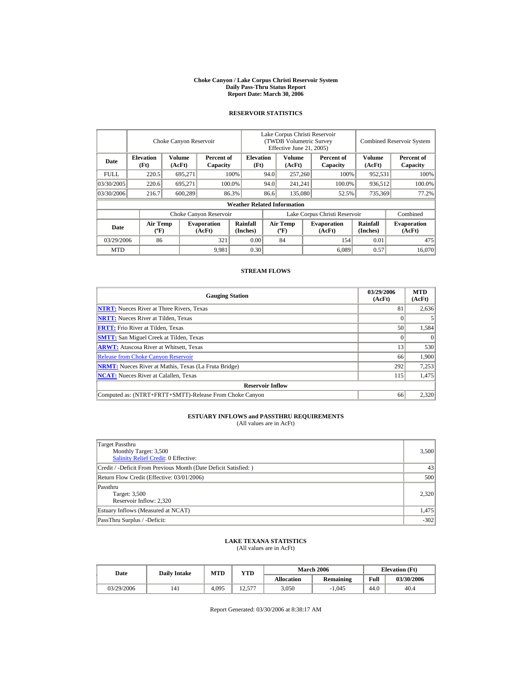#### **Choke Canyon / Lake Corpus Christi Reservoir System Daily Pass-Thru Status Report Report Date: March 30, 2006**

#### **RESERVOIR STATISTICS**

|             |                                             | Choke Canyon Reservoir  |                              |                                    | Lake Corpus Christi Reservoir<br><b>(TWDB Volumetric Survey)</b><br>Effective June 21, 2005) |                                          |  |                              |                             | <b>Combined Reservoir System</b> |  |  |
|-------------|---------------------------------------------|-------------------------|------------------------------|------------------------------------|----------------------------------------------------------------------------------------------|------------------------------------------|--|------------------------------|-----------------------------|----------------------------------|--|--|
| Date        | <b>Elevation</b><br>(Ft)                    | <b>Volume</b><br>(AcFt) | Percent of<br>Capacity       | <b>Elevation</b><br>(Ft)           |                                                                                              | <b>Volume</b><br>(AcFt)                  |  | Percent of<br>Capacity       | <b>Volume</b><br>(AcFt)     | Percent of<br>Capacity           |  |  |
| <b>FULL</b> | 220.5                                       | 695,271                 |                              | 100%                               | 94.0                                                                                         | 257,260                                  |  | 100%                         | 952,531                     | 100%                             |  |  |
| 03/30/2005  | 220.6                                       | 695.271                 |                              | 100.0%                             | 94.0                                                                                         | 241,241                                  |  | 100.0%                       | 936,512                     | 100.0%                           |  |  |
| 03/30/2006  | 216.7                                       | 600,289                 |                              | 86.3%                              | 86.6                                                                                         | 135,080                                  |  | 52.5%                        | 735,369                     | 77.2%                            |  |  |
|             |                                             |                         |                              | <b>Weather Related Information</b> |                                                                                              |                                          |  |                              |                             |                                  |  |  |
|             |                                             |                         | Choke Canyon Reservoir       |                                    | Lake Corpus Christi Reservoir                                                                |                                          |  |                              |                             | Combined                         |  |  |
| Date        | <b>Air Temp</b><br>$({}^{\circ}\mathrm{F})$ |                         | <b>Evaporation</b><br>(AcFt) | <b>Rainfall</b><br>(Inches)        |                                                                                              | <b>Air Temp</b><br>$({}^{\circ}{\rm F})$ |  | <b>Evaporation</b><br>(AcFt) | <b>Rainfall</b><br>(Inches) | <b>Evaporation</b><br>(AcFt)     |  |  |
| 03/29/2006  | 86                                          |                         | 321                          | 0.00                               |                                                                                              | 84                                       |  | 154                          | 0.01                        | 475                              |  |  |
| <b>MTD</b>  |                                             |                         | 9,981                        | 0.30                               |                                                                                              |                                          |  | 6.089                        | 0.57                        | 16.070                           |  |  |

#### **STREAM FLOWS**

| <b>Gauging Station</b>                                       | 03/29/2006<br>(AcFt) | <b>MTD</b><br>(AcFt) |
|--------------------------------------------------------------|----------------------|----------------------|
| <b>NTRT:</b> Nueces River at Three Rivers, Texas             | 81                   | 2,636                |
| <b>NRTT:</b> Nueces River at Tilden, Texas                   |                      |                      |
| <b>FRTT:</b> Frio River at Tilden, Texas                     | 50                   | 1,584                |
| <b>SMTT:</b> San Miguel Creek at Tilden, Texas               |                      | $\Omega$             |
| <b>ARWT:</b> Atascosa River at Whitsett, Texas               | 13                   | 530                  |
| <b>Release from Choke Canyon Reservoir</b>                   | 66                   | 1.900                |
| <b>NRMT:</b> Nueces River at Mathis, Texas (La Fruta Bridge) | 292                  | 7,253                |
| <b>NCAT:</b> Nueces River at Calallen. Texas                 | 115                  | 1,475                |
| <b>Reservoir Inflow</b>                                      |                      |                      |
| Computed as: (NTRT+FRTT+SMTT)-Release From Choke Canyon      | 66                   | 2.320                |

# **ESTUARY INFLOWS and PASSTHRU REQUIREMENTS**<br>(All values are in AcFt)

| Target Passthru<br>Monthly Target: 3,500<br><b>Salinity Relief Credit: 0 Effective:</b> | 3,500  |
|-----------------------------------------------------------------------------------------|--------|
| Credit / -Deficit From Previous Month (Date Deficit Satisfied:)                         | 43     |
| Return Flow Credit (Effective: 03/01/2006)                                              | 500    |
| Passthru<br>Target: 3,500<br>Reservoir Inflow: 2,320                                    | 2.320  |
| Estuary Inflows (Measured at NCAT)                                                      | 1,475  |
| PassThru Surplus / -Deficit:                                                            | $-302$ |

## **LAKE TEXANA STATISTICS**

(All values are in AcFt)

| <b>Date</b> | <b>Daily Intake</b> | MTD   | VTD                |                   | <b>March 2006</b> | <b>Elevation</b> (Ft) |            |
|-------------|---------------------|-------|--------------------|-------------------|-------------------|-----------------------|------------|
|             |                     |       |                    | <b>Allocation</b> | <b>Remaining</b>  | Full                  | 03/30/2006 |
| 03/29/2006  | 141                 | 4.095 | 577<br>າາ<br>12.71 | 3,050             | $-1.045$          | 44.0                  | 40.4       |

Report Generated: 03/30/2006 at 8:38:17 AM